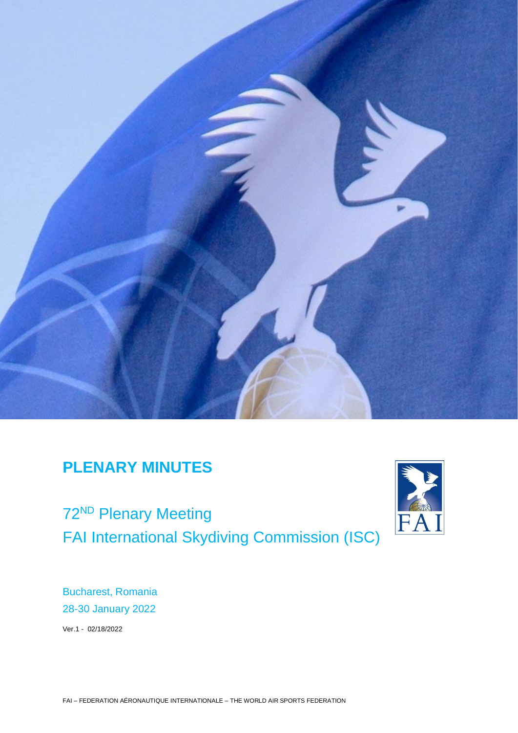

# **PLENARY MINUTES**

72<sup>ND</sup> Plenary Meeting FAI International Skydiving Commission (ISC)



Bucharest, Romania 28-30 January 2022

Ver.1 - 02/18/2022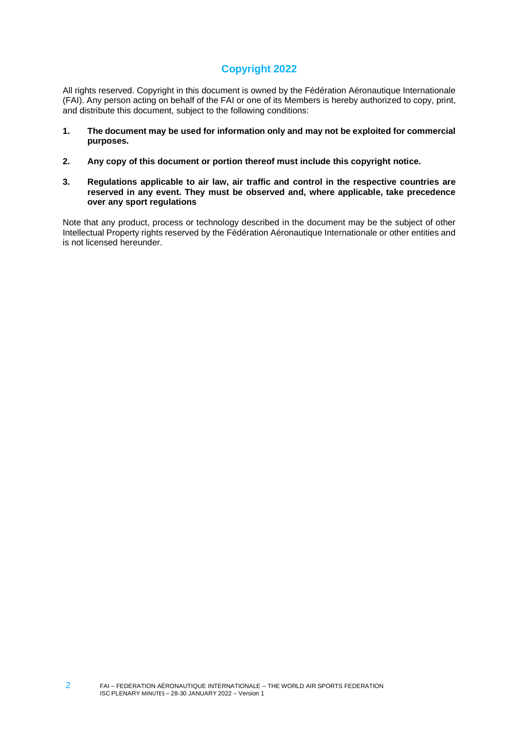# **Copyright 2022**

All rights reserved. Copyright in this document is owned by the Fédération Aéronautique Internationale (FAI). Any person acting on behalf of the FAI or one of its Members is hereby authorized to copy, print, and distribute this document, subject to the following conditions:

- **1. The document may be used for information only and may not be exploited for commercial purposes.**
- **2. Any copy of this document or portion thereof must include this copyright notice.**
- **3. Regulations applicable to air law, air traffic and control in the respective countries are reserved in any event. They must be observed and, where applicable, take precedence over any sport regulations**

Note that any product, process or technology described in the document may be the subject of other Intellectual Property rights reserved by the Fédération Aéronautique Internationale or other entities and is not licensed hereunder.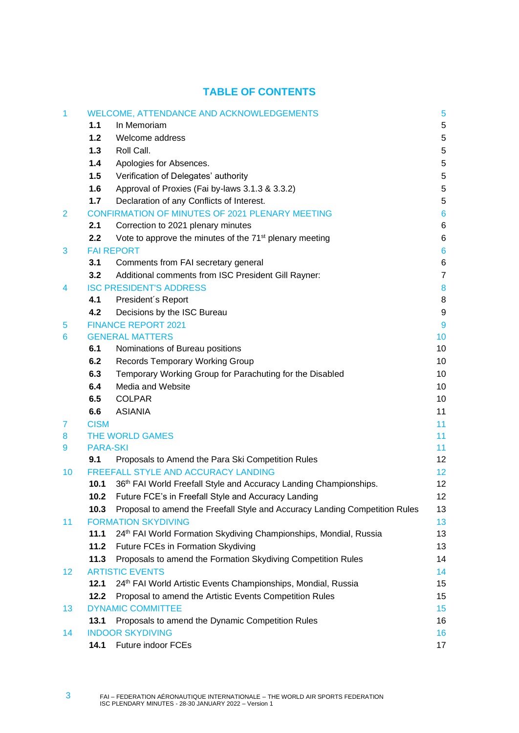# **TABLE OF CONTENTS**

| 1               |                  | <b>WELCOME, ATTENDANCE AND ACKNOWLEDGEMENTS</b>                                                                             | 5               |
|-----------------|------------------|-----------------------------------------------------------------------------------------------------------------------------|-----------------|
|                 | 1.1              | In Memoriam                                                                                                                 | 5               |
|                 | 1.2              | Welcome address                                                                                                             | 5               |
|                 | 1.3              | Roll Call.                                                                                                                  | 5               |
|                 | 1.4              | Apologies for Absences.                                                                                                     | 5               |
|                 | 1.5              | Verification of Delegates' authority                                                                                        | 5               |
|                 | 1.6              | Approval of Proxies (Fai by-laws 3.1.3 & 3.3.2)                                                                             | 5               |
|                 | 1.7              | Declaration of any Conflicts of Interest.                                                                                   | 5               |
| $\overline{2}$  |                  | <b>CONFIRMATION OF MINUTES OF 2021 PLENARY MEETING</b>                                                                      | $6\phantom{1}6$ |
|                 | 2.1              | Correction to 2021 plenary minutes                                                                                          | 6               |
|                 | $2.2\phantom{0}$ | Vote to approve the minutes of the 71 <sup>st</sup> plenary meeting                                                         | 6               |
| 3               |                  | <b>FAI REPORT</b>                                                                                                           | $6\phantom{1}6$ |
|                 | 3.1              | Comments from FAI secretary general                                                                                         | 6               |
|                 | 3.2              | Additional comments from ISC President Gill Rayner:                                                                         | $\overline{7}$  |
| 4               |                  | <b>ISC PRESIDENT'S ADDRESS</b>                                                                                              | 8               |
|                 | 4.1              | President's Report                                                                                                          | 8               |
|                 | 4.2              | Decisions by the ISC Bureau                                                                                                 | 9               |
| 5               |                  | <b>FINANCE REPORT 2021</b>                                                                                                  | 9               |
| 6               |                  | <b>GENERAL MATTERS</b>                                                                                                      | 10              |
|                 | 6.1              | Nominations of Bureau positions                                                                                             | 10              |
|                 | 6.2              | <b>Records Temporary Working Group</b>                                                                                      | 10              |
|                 | 6.3              | Temporary Working Group for Parachuting for the Disabled                                                                    | 10              |
|                 | 6.4              | Media and Website                                                                                                           | 10              |
|                 | 6.5              | <b>COLPAR</b>                                                                                                               | 10              |
|                 | 6.6              | <b>ASIANIA</b>                                                                                                              | 11              |
| 7               | <b>CISM</b>      |                                                                                                                             | 11              |
| 8               |                  | THE WORLD GAMES                                                                                                             | 11              |
| 9               | <b>PARA-SKI</b>  |                                                                                                                             | 11              |
|                 | 9.1              | Proposals to Amend the Para Ski Competition Rules                                                                           | 12              |
| 10              | 10.1             | <b>FREEFALL STYLE AND ACCURACY LANDING</b><br>36 <sup>th</sup> FAI World Freefall Style and Accuracy Landing Championships. | 12<br>12        |
|                 | 10.2             | Future FCE's in Freefall Style and Accuracy Landing                                                                         | 12              |
|                 | 10.3             | Proposal to amend the Freefall Style and Accuracy Landing Competition Rules                                                 | 13              |
| 11              |                  | <b>FORMATION SKYDIVING</b>                                                                                                  | 13              |
|                 | 11.1             | 24th FAI World Formation Skydiving Championships, Mondial, Russia                                                           | 13              |
|                 | 11.2             | Future FCEs in Formation Skydiving                                                                                          | 13              |
|                 | 11.3             | Proposals to amend the Formation Skydiving Competition Rules                                                                | 14              |
| 12 <sub>2</sub> |                  | <b>ARTISTIC EVENTS</b>                                                                                                      | 14              |
|                 | 12.1             | 24th FAI World Artistic Events Championships, Mondial, Russia                                                               | 15              |
|                 | 12.2             | Proposal to amend the Artistic Events Competition Rules                                                                     | 15              |
| 13              |                  | <b>DYNAMIC COMMITTEE</b>                                                                                                    | 15              |
|                 | 13.1             | Proposals to amend the Dynamic Competition Rules                                                                            | 16              |
| 14              |                  | <b>INDOOR SKYDIVING</b>                                                                                                     | 16              |
|                 | 14.1             | Future indoor FCEs                                                                                                          | 17              |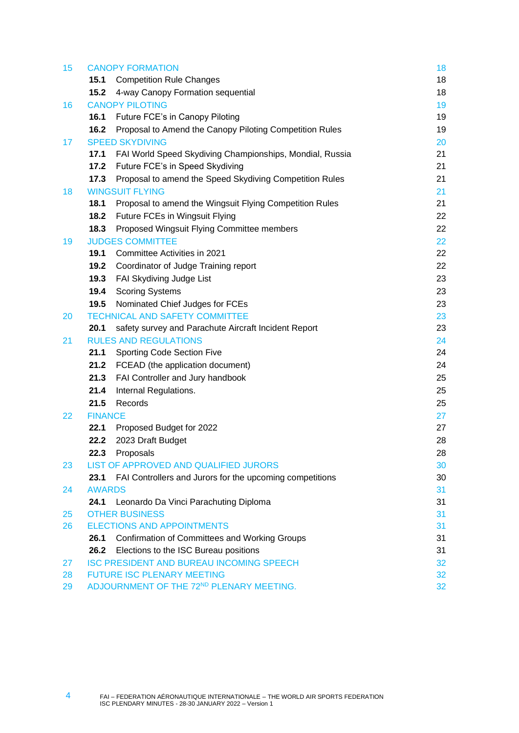| 15       | <b>CANOPY FORMATION</b> |                                                            | 18       |
|----------|-------------------------|------------------------------------------------------------|----------|
|          | 15.1                    | <b>Competition Rule Changes</b>                            | 18       |
|          | 15.2                    | 4-way Canopy Formation sequential                          | 18       |
| 16       |                         | <b>CANOPY PILOTING</b>                                     | 19       |
|          | 16.1                    | Future FCE's in Canopy Piloting                            | 19       |
|          | 16.2                    | Proposal to Amend the Canopy Piloting Competition Rules    | 19       |
| 17       |                         | <b>SPEED SKYDIVING</b>                                     | 20       |
|          | 17.1                    | FAI World Speed Skydiving Championships, Mondial, Russia   | 21       |
|          | 17.2                    | Future FCE's in Speed Skydiving                            | 21       |
|          | 17.3                    | Proposal to amend the Speed Skydiving Competition Rules    | 21       |
| 18       |                         | <b>WINGSUIT FLYING</b>                                     | 21       |
|          | 18.1                    | Proposal to amend the Wingsuit Flying Competition Rules    | 21       |
|          | 18.2                    | Future FCEs in Wingsuit Flying                             | 22       |
|          | 18.3                    | Proposed Wingsuit Flying Committee members                 | 22       |
| 19       |                         | <b>JUDGES COMMITTEE</b>                                    | 22       |
|          | 19.1                    | Committee Activities in 2021                               | 22       |
|          | 19.2                    | Coordinator of Judge Training report                       | 22       |
|          | 19.3                    | FAI Skydiving Judge List                                   | 23       |
|          | 19.4                    | <b>Scoring Systems</b>                                     | 23       |
|          | 19.5                    | Nominated Chief Judges for FCEs                            | 23       |
| 20       |                         | <b>TECHNICAL AND SAFETY COMMITTEE</b>                      | 23       |
|          | 20.1                    | safety survey and Parachute Aircraft Incident Report       | 23       |
| 21       |                         | <b>RULES AND REGULATIONS</b>                               | 24       |
|          | 21.1                    | <b>Sporting Code Section Five</b>                          | 24       |
|          | 21.2                    | FCEAD (the application document)                           | 24       |
|          | 21.3                    | FAI Controller and Jury handbook                           | 25       |
|          | 21.4                    | Internal Regulations.                                      | 25       |
|          | 21.5                    | Records                                                    | 25       |
| 22       | <b>FINANCE</b>          |                                                            | 27       |
|          | 22.1                    | Proposed Budget for 2022                                   | 27       |
|          | 22.2                    | 2023 Draft Budget                                          | 28       |
|          | 22.3                    | Proposals                                                  | 28       |
| 23       |                         | LIST OF APPROVED AND QUALIFIED JURORS                      | 30       |
|          | 23.1                    | FAI Controllers and Jurors for the upcoming competitions   | 30       |
| 24       | <b>AWARDS</b>           |                                                            | 31       |
|          | 24.1                    | Leonardo Da Vinci Parachuting Diploma                      | 31       |
| 25<br>26 |                         | <b>OTHER BUSINESS</b><br><b>ELECTIONS AND APPOINTMENTS</b> | 31       |
|          | 26.1                    | <b>Confirmation of Committees and Working Groups</b>       | 31<br>31 |
|          | 26.2                    | Elections to the ISC Bureau positions                      | 31       |
| 27       |                         | <b>ISC PRESIDENT AND BUREAU INCOMING SPEECH</b>            | 32       |
| 28       |                         | <b>FUTURE ISC PLENARY MEETING</b>                          | 32       |
| 29       |                         | ADJOURNMENT OF THE 72ND PLENARY MEETING.                   | 32       |
|          |                         |                                                            |          |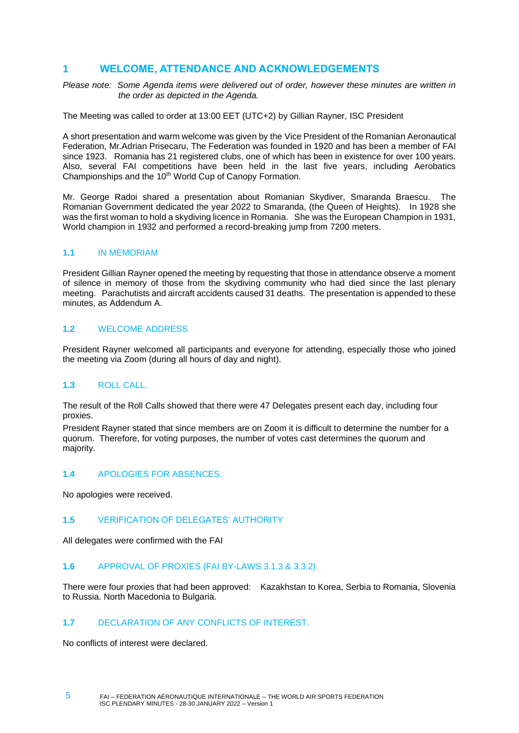# <span id="page-4-0"></span>**1 WELCOME, ATTENDANCE AND ACKNOWLEDGEMENTS**

*Please note: Some Agenda items were delivered out of order, however these minutes are written in the order as depicted in the Agenda.* 

The Meeting was called to order at 13:00 EET (UTC+2) by Gillian Rayner, ISC President

A short presentation and warm welcome was given by the Vice President of the Romanian Aeronautical Federation, Mr.Adrian Prisecaru, The Federation was founded in 1920 and has been a member of FAI since 1923. Romania has 21 registered clubs, one of which has been in existence for over 100 years. Also, several FAI competitions have been held in the last five years, including Aerobatics Championships and the 10<sup>th</sup> World Cup of Canopy Formation.

Mr. George Radoi shared a presentation about Romanian Skydiver, Smaranda Braescu. The Romanian Government dedicated the year 2022 to Smaranda, (the Queen of Heights). In 1928 she was the first woman to hold a skydiving licence in Romania. She was the European Champion in 1931, World champion in 1932 and performed a record-breaking jump from 7200 meters.

### <span id="page-4-1"></span>**1.1** IN MEMORIAM

President Gillian Rayner opened the meeting by requesting that those in attendance observe a moment of silence in memory of those from the skydiving community who had died since the last plenary meeting. Parachutists and aircraft accidents caused 31 deaths. The presentation is appended to these minutes, as Addendum A.

### <span id="page-4-2"></span>**1.2** WELCOME ADDRESS

President Rayner welcomed all participants and everyone for attending, especially those who joined the meeting via Zoom (during all hours of day and night).

### <span id="page-4-3"></span>**1.3** ROLL CALL.

The result of the Roll Calls showed that there were 47 Delegates present each day, including four proxies.

President Rayner stated that since members are on Zoom it is difficult to determine the number for a quorum. Therefore, for voting purposes, the number of votes cast determines the quorum and majority.

### <span id="page-4-4"></span>**1.4** APOLOGIES FOR ABSENCES.

No apologies were received.

### <span id="page-4-5"></span>**1.5** VERIFICATION OF DELEGATES' AUTHORITY

All delegates were confirmed with the FAI

### <span id="page-4-6"></span>**1.6** APPROVAL OF PROXIES (FAI BY-LAWS 3.1.3 & 3.3.2)

There were four proxies that had been approved: Kazakhstan to Korea, Serbia to Romania, Slovenia to Russia. North Macedonia to Bulgaria.

### <span id="page-4-7"></span>**1.7** DECLARATION OF ANY CONFLICTS OF INTEREST.

No conflicts of interest were declared.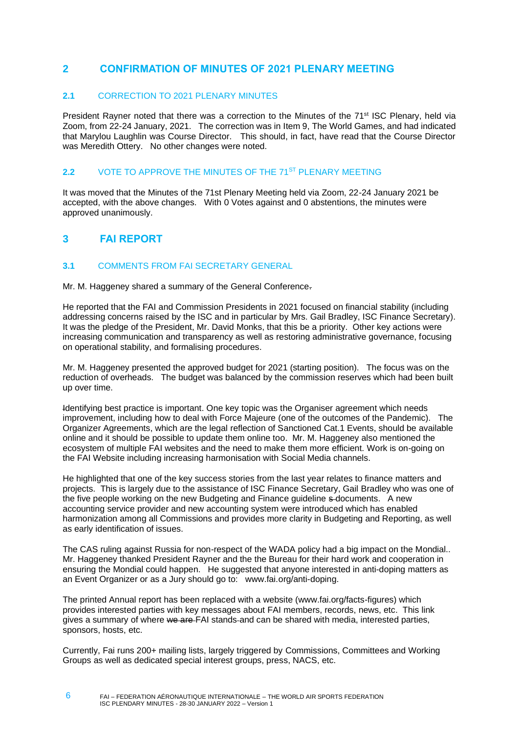# <span id="page-5-0"></span>**2 CONFIRMATION OF MINUTES OF 2021 PLENARY MEETING**

#### <span id="page-5-1"></span>**2.1** CORRECTION TO 2021 PLENARY MINUTES

President Rayner noted that there was a correction to the Minutes of the 71<sup>st</sup> ISC Plenary, held via Zoom, from 22-24 January, 2021. The correction was in Item 9, The World Games, and had indicated that Marylou Laughlin was Course Director. This should, in fact, have read that the Course Director was Meredith Ottery. No other changes were noted.

#### <span id="page-5-2"></span>**2.2** VOTE TO APPROVE THE MINUTES OF THE 71<sup>ST</sup> PLENARY MEETING

It was moved that the Minutes of the 71st Plenary Meeting held via Zoom, 22-24 January 2021 be accepted, with the above changes. With 0 Votes against and 0 abstentions, the minutes were approved unanimously.

# <span id="page-5-3"></span>**3 FAI REPORT**

6

### <span id="page-5-4"></span>**3.1** COMMENTS FROM FAI SECRETARY GENERAL

Mr. M. Haggeney shared a summary of the General Conference.

He reported that the FAI and Commission Presidents in 2021 focused on financial stability (including addressing concerns raised by the ISC and in particular by Mrs. Gail Bradley, ISC Finance Secretary). It was the pledge of the President, Mr. David Monks, that this be a priority. Other key actions were increasing communication and transparency as well as restoring administrative governance, focusing on operational stability, and formalising procedures.

Mr. M. Haggeney presented the approved budget for 2021 (starting position). The focus was on the reduction of overheads. The budget was balanced by the commission reserves which had been built up over time.

Identifying best practice is important. One key topic was the Organiser agreement which needs improvement, including how to deal with Force Majeure (one of the outcomes of the Pandemic). The Organizer Agreements, which are the legal reflection of Sanctioned Cat.1 Events, should be available online and it should be possible to update them online too. Mr. M. Haggeney also mentioned the ecosystem of multiple FAI websites and the need to make them more efficient. Work is on-going on the FAI Website including increasing harmonisation with Social Media channels.

He highlighted that one of the key success stories from the last year relates to finance matters and projects. This is largely due to the assistance of ISC Finance Secretary, Gail Bradley who was one of the five people working on the new Budgeting and Finance guideline s-documents. A new accounting service provider and new accounting system were introduced which has enabled harmonization among all Commissions and provides more clarity in Budgeting and Reporting, as well as early identification of issues.

The CAS ruling against Russia for non-respect of the WADA policy had a big impact on the Mondial.. Mr. Haggeney thanked President Rayner and the the Bureau for their hard work and cooperation in ensuring the Mondial could happen. He suggested that anyone interested in anti-doping matters as an Event Organizer or as a Jury should go to: [www.fai.org/anti-doping.](http://www.fai.org/anti-doping)

The printed Annual report has been replaced with a website [\(www.fai.org/facts-figures\)](http://www.fai.org/facts-figures) which provides interested parties with key messages about FAI members, records, news, etc. This link gives a summary of where we are FAI stands and can be shared with media, interested parties, sponsors, hosts, etc.

Currently, Fai runs 200+ mailing lists, largely triggered by Commissions, Committees and Working Groups as well as dedicated special interest groups, press, NACS, etc.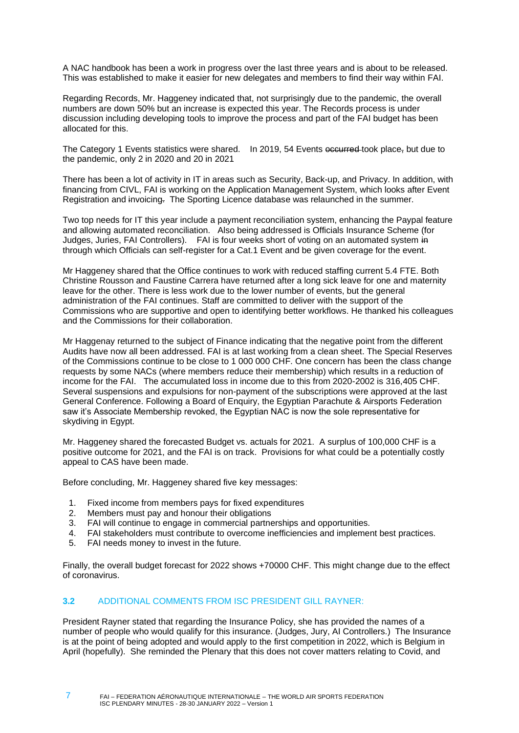A NAC handbook has been a work in progress over the last three years and is about to be released. This was established to make it easier for new delegates and members to find their way within FAI.

Regarding Records, Mr. Haggeney indicated that, not surprisingly due to the pandemic, the overall numbers are down 50% but an increase is expected this year. The Records process is under discussion including developing tools to improve the process and part of the FAI budget has been allocated for this.

The Category 1 Events statistics were shared. In 2019, 54 Events occurred-took place, but due to the pandemic, only 2 in 2020 and 20 in 2021

There has been a lot of activity in IT in areas such as Security, Back-up, and Privacy. In addition, with financing from CIVL, FAI is working on the Application Management System, which looks after Event Registration and invoicing. The Sporting Licence database was relaunched in the summer.

Two top needs for IT this year include a payment reconciliation system, enhancing the Paypal feature and allowing automated reconciliation. Also being addressed is Officials Insurance Scheme (for Judges, Juries, FAI Controllers). FAI is four weeks short of voting on an automated system in through which Officials can self-register for a Cat.1 Event and be given coverage for the event.

Mr Haggeney shared that the Office continues to work with reduced staffing current 5.4 FTE. Both Christine Rousson and Faustine Carrera have returned after a long sick leave for one and maternity leave for the other. There is less work due to the lower number of events, but the general administration of the FAI continues. Staff are committed to deliver with the support of the Commissions who are supportive and open to identifying better workflows. He thanked his colleagues and the Commissions for their collaboration.

Mr Haggenay returned to the subject of Finance indicating that the negative point from the different Audits have now all been addressed. FAI is at last working from a clean sheet. The Special Reserves of the Commissions continue to be close to 1 000 000 CHF. One concern has been the class change requests by some NACs (where members reduce their membership) which results in a reduction of income for the FAI. The accumulated loss in income due to this from 2020-2002 is 316,405 CHF. Several suspensions and expulsions for non-payment of the subscriptions were approved at the last General Conference. Following a Board of Enquiry, the Egyptian Parachute & Airsports Federation saw it's Associate Membership revoked, the Egyptian NAC is now the sole representative for skydiving in Egypt.

Mr. Haggeney shared the forecasted Budget vs. actuals for 2021. A surplus of 100,000 CHF is a positive outcome for 2021, and the FAI is on track. Provisions for what could be a potentially costly appeal to CAS have been made.

Before concluding, Mr. Haggeney shared five key messages:

- 1. Fixed income from members pays for fixed expenditures
- 2. Members must pay and honour their obligations
- 3. FAI will continue to engage in commercial partnerships and opportunities.
- 4. FAI stakeholders must contribute to overcome inefficiencies and implement best practices.
- 5. FAI needs money to invest in the future.

Finally, the overall budget forecast for 2022 shows +70000 CHF. This might change due to the effect of coronavirus.

#### <span id="page-6-0"></span>**3.2** ADDITIONAL COMMENTS FROM ISC PRESIDENT GILL RAYNER:

President Rayner stated that regarding the Insurance Policy, she has provided the names of a number of people who would qualify for this insurance. (Judges, Jury, AI Controllers.) The Insurance is at the point of being adopted and would apply to the first competition in 2022, which is Belgium in April (hopefully). She reminded the Plenary that this does not cover matters relating to Covid, and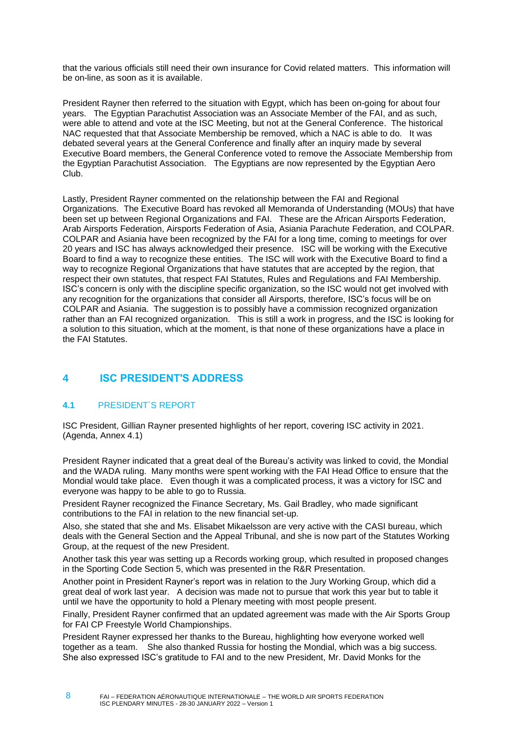that the various officials still need their own insurance for Covid related matters. This information will be on-line, as soon as it is available.

President Rayner then referred to the situation with Egypt, which has been on-going for about four years. The Egyptian Parachutist Association was an Associate Member of the FAI, and as such, were able to attend and vote at the ISC Meeting, but not at the General Conference. The historical NAC requested that that Associate Membership be removed, which a NAC is able to do. It was debated several years at the General Conference and finally after an inquiry made by several Executive Board members, the General Conference voted to remove the Associate Membership from the Egyptian Parachutist Association. The Egyptians are now represented by the Egyptian Aero Club.

Lastly, President Rayner commented on the relationship between the FAI and Regional Organizations. The Executive Board has revoked all Memoranda of Understanding (MOUs) that have been set up between Regional Organizations and FAI. These are the African Airsports Federation, Arab Airsports Federation, Airsports Federation of Asia, Asiania Parachute Federation, and COLPAR. COLPAR and Asiania have been recognized by the FAI for a long time, coming to meetings for over 20 years and ISC has always acknowledged their presence. ISC will be working with the Executive Board to find a way to recognize these entities. The ISC will work with the Executive Board to find a way to recognize Regional Organizations that have statutes that are accepted by the region, that respect their own statutes, that respect FAI Statutes, Rules and Regulations and FAI Membership. ISC's concern is only with the discipline specific organization, so the ISC would not get involved with any recognition for the organizations that consider all Airsports, therefore, ISC's focus will be on COLPAR and Asiania. The suggestion is to possibly have a commission recognized organization rather than an FAI recognized organization. This is still a work in progress, and the ISC is looking for a solution to this situation, which at the moment, is that none of these organizations have a place in the FAI Statutes.

# <span id="page-7-0"></span>**4 ISC PRESIDENT'S ADDRESS**

### <span id="page-7-1"></span>**4.1** PRESIDENT´S REPORT

ISC President, Gillian Rayner presented highlights of her report, covering ISC activity in 2021. (Agenda, Annex 4.1)

President Rayner indicated that a great deal of the Bureau's activity was linked to covid, the Mondial and the WADA ruling. Many months were spent working with the FAI Head Office to ensure that the Mondial would take place. Even though it was a complicated process, it was a victory for ISC and everyone was happy to be able to go to Russia.

President Rayner recognized the Finance Secretary, Ms. Gail Bradley, who made significant contributions to the FAI in relation to the new financial set-up.

Also, she stated that she and Ms. Elisabet Mikaelsson are very active with the CASI bureau, which deals with the General Section and the Appeal Tribunal, and she is now part of the Statutes Working Group, at the request of the new President.

Another task this year was setting up a Records working group, which resulted in proposed changes in the Sporting Code Section 5, which was presented in the R&R Presentation.

Another point in President Rayner's report was in relation to the Jury Working Group, which did a great deal of work last year. A decision was made not to pursue that work this year but to table it until we have the opportunity to hold a Plenary meeting with most people present.

Finally, President Rayner confirmed that an updated agreement was made with the Air Sports Group for FAI CP Freestyle World Championships.

President Rayner expressed her thanks to the Bureau, highlighting how everyone worked well together as a team. She also thanked Russia for hosting the Mondial, which was a big success. She also expressed ISC's gratitude to FAI and to the new President, Mr. David Monks for the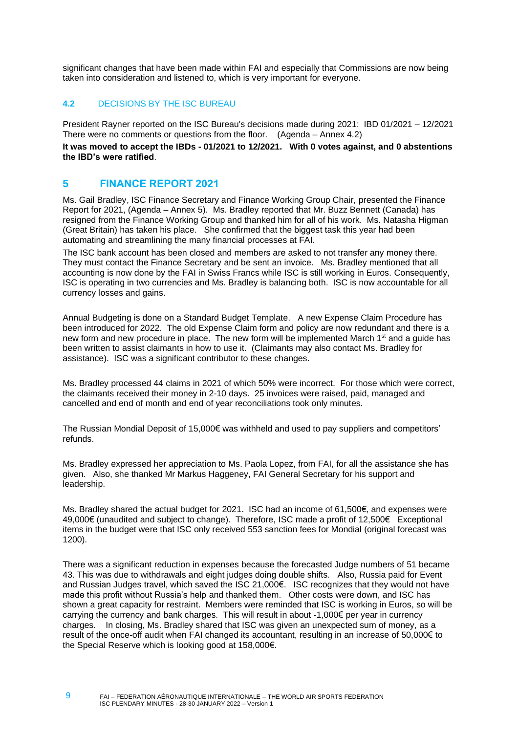significant changes that have been made within FAI and especially that Commissions are now being taken into consideration and listened to, which is very important for everyone.

### <span id="page-8-0"></span>**4.2** DECISIONS BY THE ISC BUREAU

President Rayner reported on the ISC Bureau's decisions made during 2021: IBD 01/2021 – 12/2021 There were no comments or questions from the floor. (Agenda – Annex 4.2)

**It was moved to accept the IBDs - 01/2021 to 12/2021. With 0 votes against, and 0 abstentions the IBD's were ratified**.

# <span id="page-8-1"></span>**5 FINANCE REPORT 2021**

Ms. Gail Bradley, ISC Finance Secretary and Finance Working Group Chair, presented the Finance Report for 2021, (Agenda – Annex 5). Ms. Bradley reported that Mr. Buzz Bennett (Canada) has resigned from the Finance Working Group and thanked him for all of his work. Ms. Natasha Higman (Great Britain) has taken his place. She confirmed that the biggest task this year had been automating and streamlining the many financial processes at FAI.

The ISC bank account has been closed and members are asked to not transfer any money there. They must contact the Finance Secretary and be sent an invoice. Ms. Bradley mentioned that all accounting is now done by the FAI in Swiss Francs while ISC is still working in Euros. Consequently, ISC is operating in two currencies and Ms. Bradley is balancing both. ISC is now accountable for all currency losses and gains.

Annual Budgeting is done on a Standard Budget Template. A new Expense Claim Procedure has been introduced for 2022. The old Expense Claim form and policy are now redundant and there is a new form and new procedure in place. The new form will be implemented March 1<sup>st</sup> and a guide has been written to assist claimants in how to use it. (Claimants may also contact Ms. Bradley for assistance). ISC was a significant contributor to these changes.

Ms. Bradley processed 44 claims in 2021 of which 50% were incorrect. For those which were correct, the claimants received their money in 2-10 days. 25 invoices were raised, paid, managed and cancelled and end of month and end of year reconciliations took only minutes.

The Russian Mondial Deposit of 15,000€ was withheld and used to pay suppliers and competitors' refunds.

Ms. Bradley expressed her appreciation to Ms. Paola Lopez, from FAI, for all the assistance she has given. Also, she thanked Mr Markus Haggeney, FAI General Secretary for his support and leadership.

Ms. Bradley shared the actual budget for 2021. ISC had an income of 61,500€, and expenses were 49,000€ (unaudited and subject to change). Therefore, ISC made a profit of 12,500€ Exceptional items in the budget were that ISC only received 553 sanction fees for Mondial (original forecast was 1200).

There was a significant reduction in expenses because the forecasted Judge numbers of 51 became 43. This was due to withdrawals and eight judges doing double shifts. Also, Russia paid for Event and Russian Judges travel, which saved the ISC 21,000€. ISC recognizes that they would not have made this profit without Russia's help and thanked them. Other costs were down, and ISC has shown a great capacity for restraint. Members were reminded that ISC is working in Euros, so will be carrying the currency and bank charges. This will result in about -1,000€ per year in currency charges. In closing, Ms. Bradley shared that ISC was given an unexpected sum of money, as a result of the once-off audit when FAI changed its accountant, resulting in an increase of 50,000€ to the Special Reserve which is looking good at 158,000€.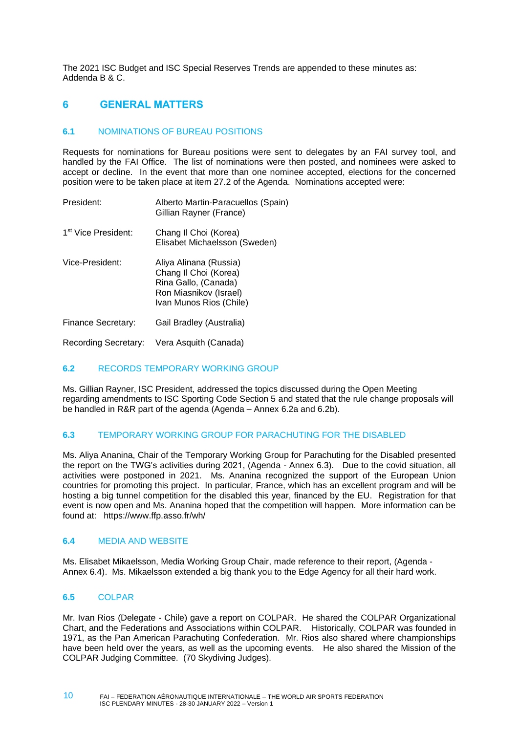The 2021 ISC Budget and ISC Special Reserves Trends are appended to these minutes as: Addenda B & C.

# <span id="page-9-0"></span>**6 GENERAL MATTERS**

### <span id="page-9-1"></span>**6.1** NOMINATIONS OF BUREAU POSITIONS

Requests for nominations for Bureau positions were sent to delegates by an FAI survey tool, and handled by the FAI Office. The list of nominations were then posted, and nominees were asked to accept or decline. In the event that more than one nominee accepted, elections for the concerned position were to be taken place at item 27.2 of the Agenda. Nominations accepted were:

| President:                      | Alberto Martin-Paracuellos (Spain)<br>Gillian Rayner (France)                                                                |
|---------------------------------|------------------------------------------------------------------------------------------------------------------------------|
| 1 <sup>st</sup> Vice President: | Chang II Choi (Korea)<br>Elisabet Michaelsson (Sweden)                                                                       |
| Vice-President:                 | Aliya Alinana (Russia)<br>Chang II Choi (Korea)<br>Rina Gallo, (Canada)<br>Ron Miasnikov (Israel)<br>Ivan Munos Rios (Chile) |
| Finance Secretary:              | Gail Bradley (Australia)                                                                                                     |
| <b>Recording Secretary:</b>     | Vera Asquith (Canada)                                                                                                        |

### <span id="page-9-2"></span>**6.2** RECORDS TEMPORARY WORKING GROUP

Ms. Gillian Rayner, ISC President, addressed the topics discussed during the Open Meeting regarding amendments to ISC Sporting Code Section 5 and stated that the rule change proposals will be handled in R&R part of the agenda (Agenda – Annex 6.2a and 6.2b).

### <span id="page-9-3"></span>**6.3** TEMPORARY WORKING GROUP FOR PARACHUTING FOR THE DISABLED

Ms. Aliya Ananina, Chair of the Temporary Working Group for Parachuting for the Disabled presented the report on the TWG's activities during 2021, (Agenda - Annex 6.3). Due to the covid situation, all activities were postponed in 2021. Ms. Ananina recognized the support of the European Union countries for promoting this project. In particular, France, which has an excellent program and will be hosting a big tunnel competition for the disabled this year, financed by the EU. Registration for that event is now open and Ms. Ananina hoped that the competition will happen. More information can be found at: https://www.ffp.asso.fr/wh/

#### <span id="page-9-4"></span>**6.4** MEDIA AND WEBSITE

Ms. Elisabet Mikaelsson, Media Working Group Chair, made reference to their report, (Agenda - Annex 6.4). Ms. Mikaelsson extended a big thank you to the Edge Agency for all their hard work.

### <span id="page-9-5"></span>**6.5** COLPAR

Mr. Ivan Rios (Delegate - Chile) gave a report on COLPAR. He shared the COLPAR Organizational Chart, and the Federations and Associations within COLPAR. Historically, COLPAR was founded in 1971, as the Pan American Parachuting Confederation. Mr. Rios also shared where championships have been held over the years, as well as the upcoming events. He also shared the Mission of the COLPAR Judging Committee. (70 Skydiving Judges).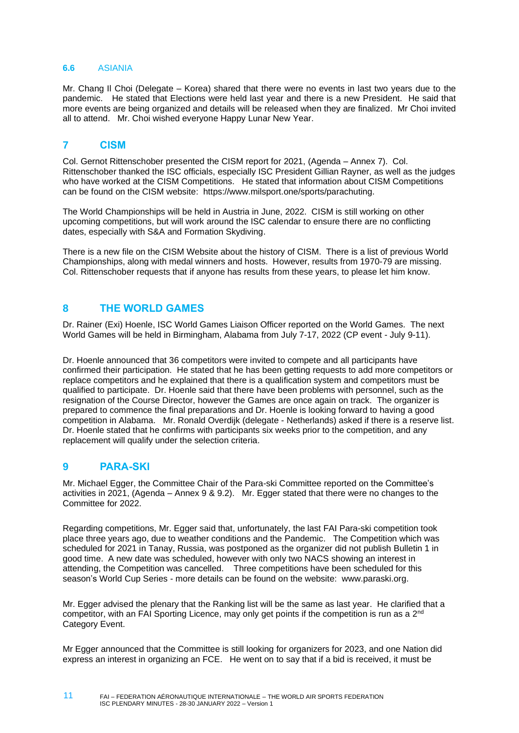### <span id="page-10-0"></span>**6.6** ASIANIA

Mr. Chang Il Choi (Delegate – Korea) shared that there were no events in last two years due to the pandemic. He stated that Elections were held last year and there is a new President. He said that more events are being organized and details will be released when they are finalized. Mr Choi invited all to attend. Mr. Choi wished everyone Happy Lunar New Year.

# <span id="page-10-1"></span>**7 CISM**

Col. Gernot Rittenschober presented the CISM report for 2021, (Agenda – Annex 7). Col. Rittenschober thanked the ISC officials, especially ISC President Gillian Rayner, as well as the judges who have worked at the CISM Competitions. He stated that information about CISM Competitions can be found on the CISM website: [https://www.milsport.one/sports/parachuting.](https://www.milsport.one/sports/parachuting)

The World Championships will be held in Austria in June, 2022. CISM is still working on other upcoming competitions, but will work around the ISC calendar to ensure there are no conflicting dates, especially with S&A and Formation Skydiving.

There is a new file on the CISM Website about the history of CISM. There is a list of previous World Championships, along with medal winners and hosts. However, results from 1970-79 are missing. Col. Rittenschober requests that if anyone has results from these years, to please let him know.

# <span id="page-10-2"></span>**8 THE WORLD GAMES**

Dr. Rainer (Exi) Hoenle, ISC World Games Liaison Officer reported on the World Games. The next World Games will be held in Birmingham, Alabama from July 7-17, 2022 (CP event - July 9-11).

Dr. Hoenle announced that 36 competitors were invited to compete and all participants have confirmed their participation. He stated that he has been getting requests to add more competitors or replace competitors and he explained that there is a qualification system and competitors must be qualified to participate. Dr. Hoenle said that there have been problems with personnel, such as the resignation of the Course Director, however the Games are once again on track. The organizer is prepared to commence the final preparations and Dr. Hoenle is looking forward to having a good competition in Alabama. Mr. Ronald Overdijk (delegate - Netherlands) asked if there is a reserve list. Dr. Hoenle stated that he confirms with participants six weeks prior to the competition, and any replacement will qualify under the selection criteria.

# <span id="page-10-3"></span>**9 PARA-SKI**

Mr. Michael Egger, the Committee Chair of the Para-ski Committee reported on the Committee's activities in 2021, (Agenda – Annex 9 & 9.2). Mr. Egger stated that there were no changes to the Committee for 2022.

Regarding competitions, Mr. Egger said that, unfortunately, the last FAI Para-ski competition took place three years ago, due to weather conditions and the Pandemic. The Competition which was scheduled for 2021 in Tanay, Russia, was postponed as the organizer did not publish Bulletin 1 in good time. A new date was scheduled, however with only two NACS showing an interest in attending, the Competition was cancelled. Three competitions have been scheduled for this season's World Cup Series - more details can be found on the website: [www.paraski.org.](http://www.paraski.org/)

Mr. Egger advised the plenary that the Ranking list will be the same as last year. He clarified that a competitor, with an FAI Sporting Licence, may only get points if the competition is run as a 2<sup>nd</sup> Category Event.

Mr Egger announced that the Committee is still looking for organizers for 2023, and one Nation did express an interest in organizing an FCE. He went on to say that if a bid is received, it must be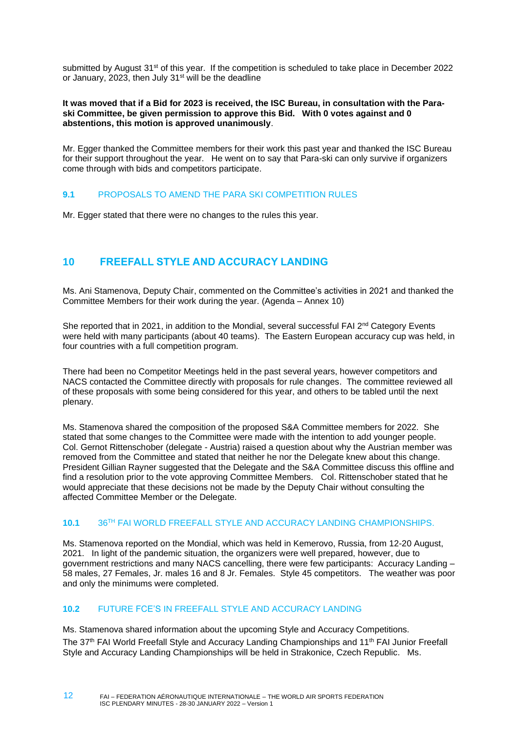submitted by August 31<sup>st</sup> of this year. If the competition is scheduled to take place in December 2022 or January, 2023, then July 31<sup>st</sup> will be the deadline

#### **It was moved that if a Bid for 2023 is received, the ISC Bureau, in consultation with the Paraski Committee, be given permission to approve this Bid. With 0 votes against and 0 abstentions, this motion is approved unanimously**.

Mr. Egger thanked the Committee members for their work this past year and thanked the ISC Bureau for their support throughout the year. He went on to say that Para-ski can only survive if organizers come through with bids and competitors participate.

### <span id="page-11-0"></span>**9.1** PROPOSALS TO AMEND THE PARA SKI COMPETITION RULES

Mr. Egger stated that there were no changes to the rules this year.

# <span id="page-11-1"></span>**10 FREEFALL STYLE AND ACCURACY LANDING**

Ms. Ani Stamenova, Deputy Chair, commented on the Committee's activities in 2021 and thanked the Committee Members for their work during the year. (Agenda – Annex 10)

She reported that in 2021, in addition to the Mondial, several successful FAI  $2^{nd}$  Category Events were held with many participants (about 40 teams). The Eastern European accuracy cup was held, in four countries with a full competition program.

There had been no Competitor Meetings held in the past several years, however competitors and NACS contacted the Committee directly with proposals for rule changes. The committee reviewed all of these proposals with some being considered for this year, and others to be tabled until the next plenary.

Ms. Stamenova shared the composition of the proposed S&A Committee members for 2022. She stated that some changes to the Committee were made with the intention to add younger people. Col. Gernot Rittenschober (delegate - Austria) raised a question about why the Austrian member was removed from the Committee and stated that neither he nor the Delegate knew about this change. President Gillian Rayner suggested that the Delegate and the S&A Committee discuss this offline and find a resolution prior to the vote approving Committee Members. Col. Rittenschober stated that he would appreciate that these decisions not be made by the Deputy Chair without consulting the affected Committee Member or the Delegate.

### <span id="page-11-2"></span>**10.1** 36TH FAI WORLD FREEFALL STYLE AND ACCURACY LANDING CHAMPIONSHIPS.

Ms. Stamenova reported on the Mondial, which was held in Kemerovo, Russia, from 12-20 August, 2021. In light of the pandemic situation, the organizers were well prepared, however, due to government restrictions and many NACS cancelling, there were few participants: Accuracy Landing – 58 males, 27 Females, Jr. males 16 and 8 Jr. Females. Style 45 competitors. The weather was poor and only the minimums were completed.

### <span id="page-11-3"></span>**10.2** FUTURE FCE'S IN FREEFALL STYLE AND ACCURACY LANDING

12

Ms. Stamenova shared information about the upcoming Style and Accuracy Competitions. The 37<sup>th</sup> FAI World Freefall Style and Accuracy Landing Championships and 11<sup>th</sup> FAI Junior Freefall Style and Accuracy Landing Championships will be held in Strakonice, Czech Republic. Ms.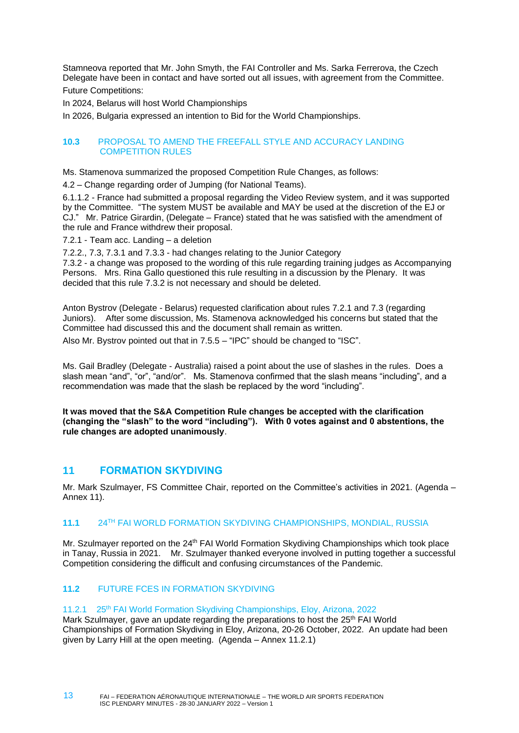Stamneova reported that Mr. John Smyth, the FAI Controller and Ms. Sarka Ferrerova, the Czech Delegate have been in contact and have sorted out all issues, with agreement from the Committee. Future Competitions:

In 2024, Belarus will host World Championships

<span id="page-12-0"></span>In 2026, Bulgaria expressed an intention to Bid for the World Championships.

### **10.3** PROPOSAL TO AMEND THE FREEFALL STYLE AND ACCURACY LANDING COMPETITION RULES

Ms. Stamenova summarized the proposed Competition Rule Changes, as follows:

4.2 – Change regarding order of Jumping (for National Teams).

6.1.1.2 - France had submitted a proposal regarding the Video Review system, and it was supported by the Committee. "The system MUST be available and MAY be used at the discretion of the EJ or CJ." Mr. Patrice Girardin, (Delegate – France) stated that he was satisfied with the amendment of the rule and France withdrew their proposal.

7.2.1 - Team acc. Landing – a deletion

7.2.2., 7.3, 7.3.1 and 7.3.3 - had changes relating to the Junior Category

7.3.2 - a change was proposed to the wording of this rule regarding training judges as Accompanying Persons. Mrs. Rina Gallo questioned this rule resulting in a discussion by the Plenary. It was decided that this rule 7.3.2 is not necessary and should be deleted.

Anton Bystrov (Delegate - Belarus) requested clarification about rules 7.2.1 and 7.3 (regarding Juniors). After some discussion, Ms. Stamenova acknowledged his concerns but stated that the Committee had discussed this and the document shall remain as written.

Also Mr. Bystrov pointed out that in 7.5.5 – "IPC" should be changed to "ISC".

Ms. Gail Bradley (Delegate - Australia) raised a point about the use of slashes in the rules. Does a slash mean "and", "or", "and/or". Ms. Stamenova confirmed that the slash means "including", and a recommendation was made that the slash be replaced by the word "including".

**It was moved that the S&A Competition Rule changes be accepted with the clarification (changing the "slash" to the word "including"). With 0 votes against and 0 abstentions, the rule changes are adopted unanimously**.

# <span id="page-12-1"></span>**11 FORMATION SKYDIVING**

Mr. Mark Szulmayer, FS Committee Chair, reported on the Committee's activities in 2021. (Agenda – Annex 11).

### <span id="page-12-2"></span>**11.1** 24TH FAI WORLD FORMATION SKYDIVING CHAMPIONSHIPS, MONDIAL, RUSSIA

Mr. Szulmayer reported on the 24<sup>th</sup> FAI World Formation Skydiving Championships which took place in Tanay, Russia in 2021. Mr. Szulmayer thanked everyone involved in putting together a successful Competition considering the difficult and confusing circumstances of the Pandemic.

# <span id="page-12-3"></span>**11.2** FUTURE FCES IN FORMATION SKYDIVING

### 11.2.1 25<sup>th</sup> FAI World Formation Skydiving Championships, Eloy, Arizona, 2022

Mark Szulmayer, gave an update regarding the preparations to host the 25<sup>th</sup> FAI World Championships of Formation Skydiving in Eloy, Arizona, 20-26 October, 2022. An update had been given by Larry Hill at the open meeting. (Agenda – Annex 11.2.1)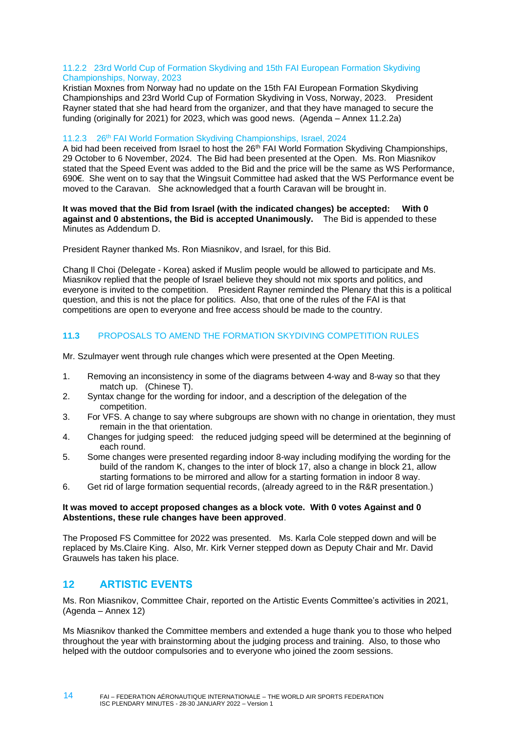#### 11.2.2 23rd World Cup of Formation Skydiving and 15th FAI European Formation Skydiving Championships, Norway, 2023

Kristian Moxnes from Norway had no update on the 15th FAI European Formation Skydiving Championships and 23rd World Cup of Formation Skydiving in Voss, Norway, 2023. President Rayner stated that she had heard from the organizer, and that they have managed to secure the funding (originally for 2021) for 2023, which was good news. (Agenda – Annex 11.2.2a)

#### 11.2.3 26<sup>th</sup> FAI World Formation Skydiving Championships, Israel, 2024

A bid had been received from Israel to host the 26<sup>th</sup> FAI World Formation Skydiving Championships, 29 October to 6 November, 2024. The Bid had been presented at the Open. Ms. Ron Miasnikov stated that the Speed Event was added to the Bid and the price will be the same as WS Performance, 690€. She went on to say that the Wingsuit Committee had asked that the WS Performance event be moved to the Caravan. She acknowledged that a fourth Caravan will be brought in.

**It was moved that the Bid from Israel (with the indicated changes) be accepted: With 0 against and 0 abstentions, the Bid is accepted Unanimously.** The Bid is appended to these Minutes as Addendum D.

President Rayner thanked Ms. Ron Miasnikov, and Israel, for this Bid.

Chang Il Choi (Delegate - Korea) asked if Muslim people would be allowed to participate and Ms. Miasnikov replied that the people of Israel believe they should not mix sports and politics, and everyone is invited to the competition. President Rayner reminded the Plenary that this is a political question, and this is not the place for politics. Also, that one of the rules of the FAI is that competitions are open to everyone and free access should be made to the country.

### <span id="page-13-0"></span>**11.3** PROPOSALS TO AMEND THE FORMATION SKYDIVING COMPETITION RULES

Mr. Szulmayer went through rule changes which were presented at the Open Meeting.

- 1. Removing an inconsistency in some of the diagrams between 4-way and 8-way so that they match up. (Chinese T).
- 2. Syntax change for the wording for indoor, and a description of the delegation of the competition.
- 3. For VFS. A change to say where subgroups are shown with no change in orientation, they must remain in the that orientation.
- 4. Changes for judging speed: the reduced judging speed will be determined at the beginning of each round.
- 5. Some changes were presented regarding indoor 8-way including modifying the wording for the build of the random K, changes to the inter of block 17, also a change in block 21, allow starting formations to be mirrored and allow for a starting formation in indoor 8 way.
- 6. Get rid of large formation sequential records, (already agreed to in the R&R presentation.)

#### **It was moved to accept proposed changes as a block vote. With 0 votes Against and 0 Abstentions, these rule changes have been approved**.

The Proposed FS Committee for 2022 was presented. Ms. Karla Cole stepped down and will be replaced by Ms.Claire King. Also, Mr. Kirk Verner stepped down as Deputy Chair and Mr. David Grauwels has taken his place.

# <span id="page-13-1"></span>**12 ARTISTIC EVENTS**

Ms. Ron Miasnikov, Committee Chair, reported on the Artistic Events Committee's activities in 2021, (Agenda – Annex 12)

Ms Miasnikov thanked the Committee members and extended a huge thank you to those who helped throughout the year with brainstorming about the judging process and training. Also, to those who helped with the outdoor compulsories and to everyone who joined the zoom sessions.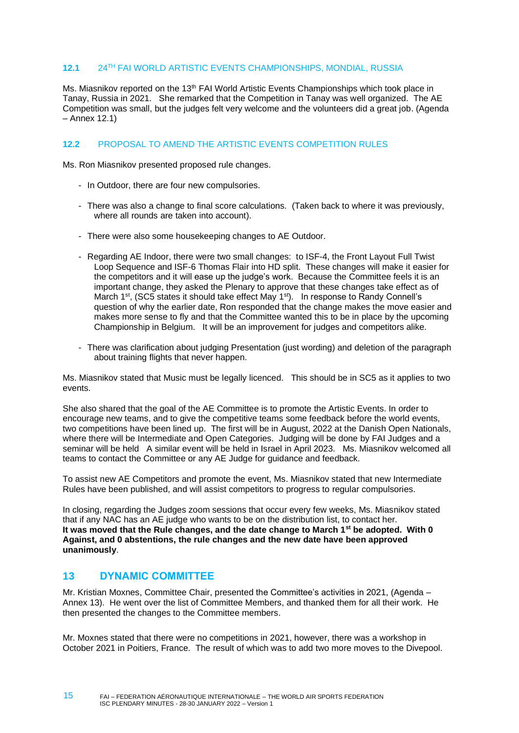### <span id="page-14-0"></span>**12.1** 24TH FAI WORLD ARTISTIC EVENTS CHAMPIONSHIPS, MONDIAL, RUSSIA

Ms. Miasnikov reported on the 13<sup>th</sup> FAI World Artistic Events Championships which took place in Tanay, Russia in 2021. She remarked that the Competition in Tanay was well organized. The AE Competition was small, but the judges felt very welcome and the volunteers did a great job. (Agenda – Annex 12.1)

### <span id="page-14-1"></span>**12.2** PROPOSAL TO AMEND THE ARTISTIC EVENTS COMPETITION RULES

Ms. Ron Miasnikov presented proposed rule changes.

- In Outdoor, there are four new compulsories.
- There was also a change to final score calculations. (Taken back to where it was previously, where all rounds are taken into account).
- There were also some housekeeping changes to AE Outdoor.
- Regarding AE Indoor, there were two small changes: to ISF-4, the Front Layout Full Twist Loop Sequence and ISF-6 Thomas Flair into HD split. These changes will make it easier for the competitors and it will ease up the judge's work. Because the Committee feels it is an important change, they asked the Plenary to approve that these changes take effect as of March 1<sup>st</sup>, (SC5 states it should take effect May 1<sup>st</sup>). In response to Randy Connell's question of why the earlier date, Ron responded that the change makes the move easier and makes more sense to fly and that the Committee wanted this to be in place by the upcoming Championship in Belgium. It will be an improvement for judges and competitors alike.
- There was clarification about judging Presentation (just wording) and deletion of the paragraph about training flights that never happen.

Ms. Miasnikov stated that Music must be legally licenced. This should be in SC5 as it applies to two events.

She also shared that the goal of the AE Committee is to promote the Artistic Events. In order to encourage new teams, and to give the competitive teams some feedback before the world events, two competitions have been lined up. The first will be in August, 2022 at the Danish Open Nationals, where there will be Intermediate and Open Categories. Judging will be done by FAI Judges and a seminar will be held A similar event will be held in Israel in April 2023. Ms. Miasnikov welcomed all teams to contact the Committee or any AE Judge for guidance and feedback.

To assist new AE Competitors and promote the event, Ms. Miasnikov stated that new Intermediate Rules have been published, and will assist competitors to progress to regular compulsories.

In closing, regarding the Judges zoom sessions that occur every few weeks, Ms. Miasnikov stated that if any NAC has an AE judge who wants to be on the distribution list, to contact her. **It was moved that the Rule changes, and the date change to March 1st be adopted. With 0 Against, and 0 abstentions, the rule changes and the new date have been approved unanimously**.

# <span id="page-14-2"></span>**13 DYNAMIC COMMITTEE**

Mr. Kristian Moxnes, Committee Chair, presented the Committee's activities in 2021, (Agenda – Annex 13). He went over the list of Committee Members, and thanked them for all their work. He then presented the changes to the Committee members.

Mr. Moxnes stated that there were no competitions in 2021, however, there was a workshop in October 2021 in Poitiers, France. The result of which was to add two more moves to the Divepool.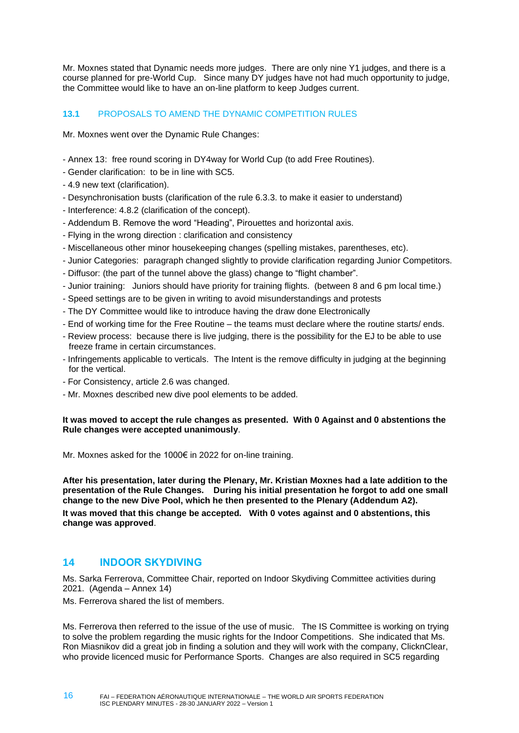Mr. Moxnes stated that Dynamic needs more judges. There are only nine Y1 judges, and there is a course planned for pre-World Cup. Since many DY judges have not had much opportunity to judge, the Committee would like to have an on-line platform to keep Judges current.

### <span id="page-15-0"></span>**13.1** PROPOSALS TO AMEND THE DYNAMIC COMPETITION RULES

Mr. Moxnes went over the Dynamic Rule Changes:

- Annex 13: free round scoring in DY4way for World Cup (to add Free Routines).
- Gender clarification: to be in line with SC5.
- 4.9 new text (clarification).
- Desynchronisation busts (clarification of the rule 6.3.3. to make it easier to understand)
- Interference: 4.8.2 (clarification of the concept).
- Addendum B. Remove the word "Heading", Pirouettes and horizontal axis.
- Flying in the wrong direction : clarification and consistency
- Miscellaneous other minor housekeeping changes (spelling mistakes, parentheses, etc).
- Junior Categories: paragraph changed slightly to provide clarification regarding Junior Competitors.
- Diffusor: (the part of the tunnel above the glass) change to "flight chamber".
- Junior training: Juniors should have priority for training flights. (between 8 and 6 pm local time.)
- Speed settings are to be given in writing to avoid misunderstandings and protests
- The DY Committee would like to introduce having the draw done Electronically
- End of working time for the Free Routine the teams must declare where the routine starts/ ends.
- Review process: because there is live judging, there is the possibility for the EJ to be able to use freeze frame in certain circumstances.
- Infringements applicable to verticals. The Intent is the remove difficulty in judging at the beginning for the vertical.
- For Consistency, article 2.6 was changed.
- Mr. Moxnes described new dive pool elements to be added.

### **It was moved to accept the rule changes as presented. With 0 Against and 0 abstentions the Rule changes were accepted unanimously**.

Mr. Moxnes asked for the 1000€ in 2022 for on-line training.

**After his presentation, later during the Plenary, Mr. Kristian Moxnes had a late addition to the presentation of the Rule Changes. During his initial presentation he forgot to add one small change to the new Dive Pool, which he then presented to the Plenary (Addendum A2). It was moved that this change be accepted. With 0 votes against and 0 abstentions, this change was approved**.

# <span id="page-15-1"></span>**14 INDOOR SKYDIVING**

16

Ms. Sarka Ferrerova, Committee Chair, reported on Indoor Skydiving Committee activities during 2021. (Agenda – Annex 14)

Ms. Ferrerova shared the list of members.

Ms. Ferrerova then referred to the issue of the use of music. The IS Committee is working on trying to solve the problem regarding the music rights for the Indoor Competitions. She indicated that Ms. Ron Miasnikov did a great job in finding a solution and they will work with the company, ClicknClear, who provide licenced music for Performance Sports. Changes are also required in SC5 regarding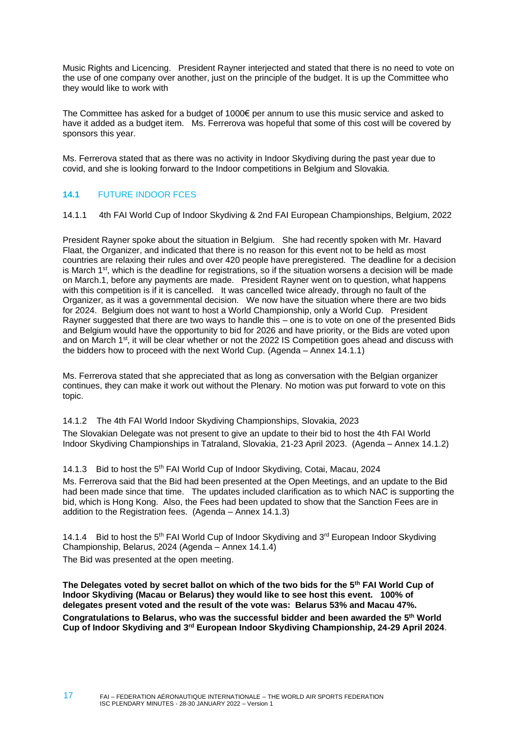Music Rights and Licencing. President Rayner interjected and stated that there is no need to vote on the use of one company over another, just on the principle of the budget. It is up the Committee who they would like to work with

The Committee has asked for a budget of 1000€ per annum to use this music service and asked to have it added as a budget item. Ms. Ferrerova was hopeful that some of this cost will be covered by sponsors this year.

Ms. Ferrerova stated that as there was no activity in Indoor Skydiving during the past year due to covid, and she is looking forward to the Indoor competitions in Belgium and Slovakia.

### <span id="page-16-0"></span>**14.1** FUTURE INDOOR FCES

14.1.1 4th FAI World Cup of Indoor Skydiving & 2nd FAI European Championships, Belgium, 2022

President Rayner spoke about the situation in Belgium. She had recently spoken with Mr. Havard Flaat, the Organizer, and indicated that there is no reason for this event not to be held as most countries are relaxing their rules and over 420 people have preregistered. The deadline for a decision is March 1<sup>st</sup>, which is the deadline for registrations, so if the situation worsens a decision will be made on March.1, before any payments are made. President Rayner went on to question, what happens with this competition is if it is cancelled. It was cancelled twice already, through no fault of the Organizer, as it was a governmental decision. We now have the situation where there are two bids for 2024. Belgium does not want to host a World Championship, only a World Cup. President Rayner suggested that there are two ways to handle this – one is to vote on one of the presented Bids and Belgium would have the opportunity to bid for 2026 and have priority, or the Bids are voted upon and on March 1<sup>st</sup>, it will be clear whether or not the 2022 IS Competition goes ahead and discuss with the bidders how to proceed with the next World Cup. (Agenda – Annex 14.1.1)

Ms. Ferrerova stated that she appreciated that as long as conversation with the Belgian organizer continues, they can make it work out without the Plenary. No motion was put forward to vote on this topic.

#### 14.1.2 The 4th FAI World Indoor Skydiving Championships, Slovakia, 2023

The Slovakian Delegate was not present to give an update to their bid to host the 4th FAI World Indoor Skydiving Championships in Tatraland, Slovakia, 21-23 April 2023. (Agenda – Annex 14.1.2)

#### 14.1.3 Bid to host the 5<sup>th</sup> FAI World Cup of Indoor Skydiving, Cotai, Macau, 2024

Ms. Ferrerova said that the Bid had been presented at the Open Meetings, and an update to the Bid had been made since that time. The updates included clarification as to which NAC is supporting the bid, which is Hong Kong. Also, the Fees had been updated to show that the Sanction Fees are in addition to the Registration fees. (Agenda – Annex 14.1.3)

14.1.4 Bid to host the 5<sup>th</sup> FAI World Cup of Indoor Skydiving and  $3<sup>rd</sup>$  European Indoor Skydiving Championship, Belarus, 2024 (Agenda – Annex 14.1.4)

The Bid was presented at the open meeting.

**The Delegates voted by secret ballot on which of the two bids for the 5th FAI World Cup of Indoor Skydiving (Macau or Belarus) they would like to see host this event. 100% of delegates present voted and the result of the vote was: Belarus 53% and Macau 47%. Congratulations to Belarus, who was the successful bidder and been awarded the 5th World Cup of Indoor Skydiving and 3rd European Indoor Skydiving Championship, 24-29 April 2024**.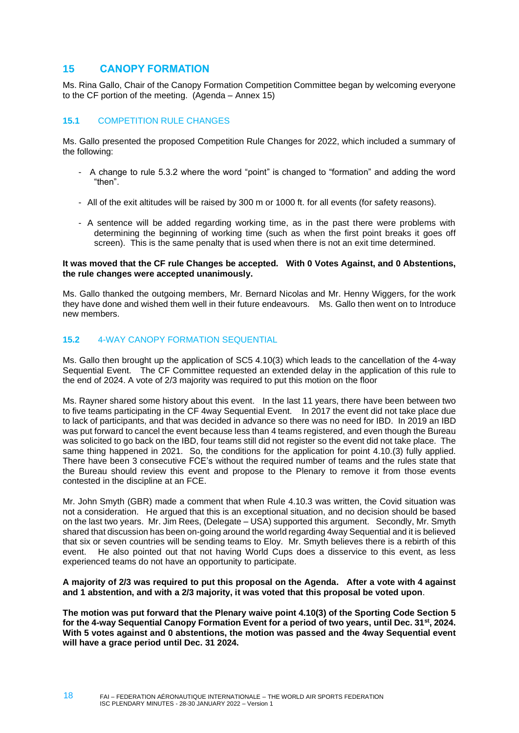# <span id="page-17-0"></span>**15 CANOPY FORMATION**

Ms. Rina Gallo, Chair of the Canopy Formation Competition Committee began by welcoming everyone to the CF portion of the meeting. (Agenda – Annex 15)

### <span id="page-17-1"></span>**15.1** COMPETITION RULE CHANGES

Ms. Gallo presented the proposed Competition Rule Changes for 2022, which included a summary of the following:

- A change to rule 5.3.2 where the word "point" is changed to "formation" and adding the word "then".
- All of the exit altitudes will be raised by 300 m or 1000 ft. for all events (for safety reasons).
- A sentence will be added regarding working time, as in the past there were problems with determining the beginning of working time (such as when the first point breaks it goes off screen). This is the same penalty that is used when there is not an exit time determined.

#### **It was moved that the CF rule Changes be accepted. With 0 Votes Against, and 0 Abstentions, the rule changes were accepted unanimously.**

Ms. Gallo thanked the outgoing members, Mr. Bernard Nicolas and Mr. Henny Wiggers, for the work they have done and wished them well in their future endeavours. Ms. Gallo then went on to Introduce new members.

#### <span id="page-17-2"></span>**15.2** 4-WAY CANOPY FORMATION SEQUENTIAL

Ms. Gallo then brought up the application of SC5 4.10(3) which leads to the cancellation of the 4-way Sequential Event. The CF Committee requested an extended delay in the application of this rule to the end of 2024. A vote of 2/3 majority was required to put this motion on the floor

Ms. Rayner shared some history about this event. In the last 11 years, there have been between two to five teams participating in the CF 4way Sequential Event. In 2017 the event did not take place due to lack of participants, and that was decided in advance so there was no need for IBD. In 2019 an IBD was put forward to cancel the event because less than 4 teams registered, and even though the Bureau was solicited to go back on the IBD, four teams still did not register so the event did not take place. The same thing happened in 2021. So, the conditions for the application for point 4.10.(3) fully applied. There have been 3 consecutive FCE's without the required number of teams and the rules state that the Bureau should review this event and propose to the Plenary to remove it from those events contested in the discipline at an FCE.

Mr. John Smyth (GBR) made a comment that when Rule 4.10.3 was written, the Covid situation was not a consideration. He argued that this is an exceptional situation, and no decision should be based on the last two years. Mr. Jim Rees, (Delegate – USA) supported this argument. Secondly, Mr. Smyth shared that discussion has been on-going around the world regarding 4way Sequential and it is believed that six or seven countries will be sending teams to Eloy. Mr. Smyth believes there is a rebirth of this event. He also pointed out that not having World Cups does a disservice to this event, as less experienced teams do not have an opportunity to participate.

#### **A majority of 2/3 was required to put this proposal on the Agenda. After a vote with 4 against and 1 abstention, and with a 2/3 majority, it was voted that this proposal be voted upon**.

**The motion was put forward that the Plenary waive point 4.10(3) of the Sporting Code Section 5 for the 4-way Sequential Canopy Formation Event for a period of two years, until Dec. 31st, 2024. With 5 votes against and 0 abstentions, the motion was passed and the 4way Sequential event will have a grace period until Dec. 31 2024.**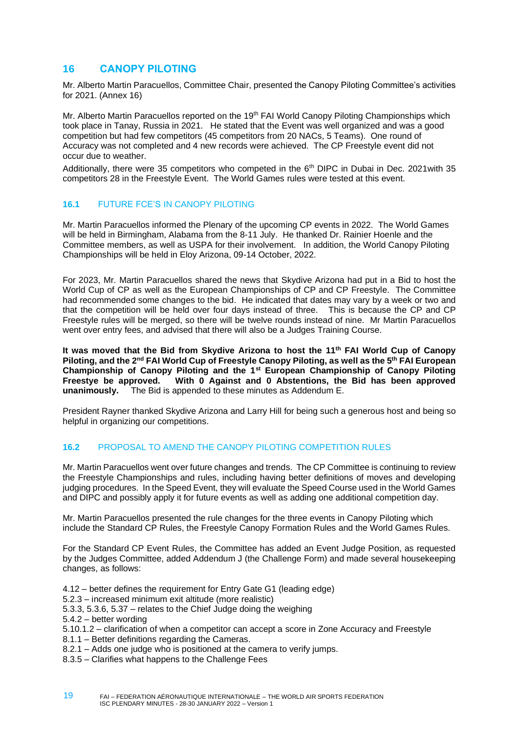# <span id="page-18-0"></span>**16 CANOPY PILOTING**

Mr. Alberto Martin Paracuellos, Committee Chair, presented the Canopy Piloting Committee's activities for 2021. (Annex 16)

Mr. Alberto Martin Paracuellos reported on the 19<sup>th</sup> FAI World Canopy Piloting Championships which took place in Tanay, Russia in 2021. He stated that the Event was well organized and was a good competition but had few competitors (45 competitors from 20 NACs, 5 Teams). One round of Accuracy was not completed and 4 new records were achieved. The CP Freestyle event did not occur due to weather.

Additionally, there were 35 competitors who competed in the 6<sup>th</sup> DIPC in Dubai in Dec. 2021 with 35 competitors 28 in the Freestyle Event. The World Games rules were tested at this event.

### <span id="page-18-1"></span>**16.1 FUTURE FCE'S IN CANOPY PILOTING**

Mr. Martin Paracuellos informed the Plenary of the upcoming CP events in 2022. The World Games will be held in Birmingham, Alabama from the 8-11 July. He thanked Dr. Rainier Hoenle and the Committee members, as well as USPA for their involvement. In addition, the World Canopy Piloting Championships will be held in Eloy Arizona, 09-14 October, 2022.

For 2023, Mr. Martin Paracuellos shared the news that Skydive Arizona had put in a Bid to host the World Cup of CP as well as the European Championships of CP and CP Freestyle. The Committee had recommended some changes to the bid. He indicated that dates may vary by a week or two and that the competition will be held over four days instead of three. This is because the CP and CP Freestyle rules will be merged, so there will be twelve rounds instead of nine. Mr Martin Paracuellos went over entry fees, and advised that there will also be a Judges Training Course.

**It was moved that the Bid from Skydive Arizona to host the 11th FAI World Cup of Canopy Piloting, and the 2nd FAI World Cup of Freestyle Canopy Piloting, as well as the 5th FAI European Championship of Canopy Piloting and the 1st European Championship of Canopy Piloting Freestye be approved. With 0 Against and 0 Abstentions, the Bid has been approved unanimously.** The Bid is appended to these minutes as Addendum E.

President Rayner thanked Skydive Arizona and Larry Hill for being such a generous host and being so helpful in organizing our competitions.

### <span id="page-18-2"></span>**16.2** PROPOSAL TO AMEND THE CANOPY PILOTING COMPETITION RULES

Mr. Martin Paracuellos went over future changes and trends. The CP Committee is continuing to review the Freestyle Championships and rules, including having better definitions of moves and developing judging procedures. In the Speed Event, they will evaluate the Speed Course used in the World Games and DIPC and possibly apply it for future events as well as adding one additional competition day.

Mr. Martin Paracuellos presented the rule changes for the three events in Canopy Piloting which include the Standard CP Rules, the Freestyle Canopy Formation Rules and the World Games Rules.

For the Standard CP Event Rules, the Committee has added an Event Judge Position, as requested by the Judges Committee, added Addendum J (the Challenge Form) and made several housekeeping changes, as follows:

- 4.12 better defines the requirement for Entry Gate G1 (leading edge)
- 5.2.3 increased minimum exit altitude (more realistic)
- 5.3.3, 5.3.6, 5.37 relates to the Chief Judge doing the weighing
- 5.4.2 better wording
- 5.10.1.2 clarification of when a competitor can accept a score in Zone Accuracy and Freestyle
- 8.1.1 Better definitions regarding the Cameras.
- 8.2.1 Adds one judge who is positioned at the camera to verify jumps.
- 8.3.5 Clarifies what happens to the Challenge Fees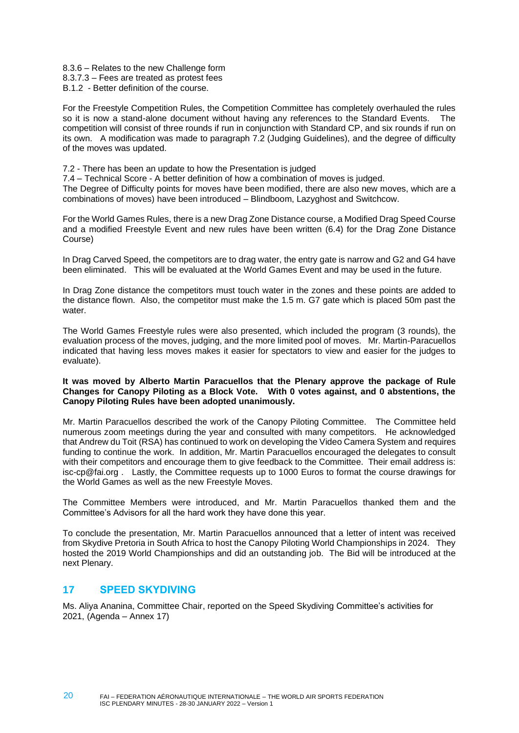8.3.6 – Relates to the new Challenge form 8.3.7.3 – Fees are treated as protest fees B.1.2 - Better definition of the course.

For the Freestyle Competition Rules, the Competition Committee has completely overhauled the rules so it is now a stand-alone document without having any references to the Standard Events. The competition will consist of three rounds if run in conjunction with Standard CP, and six rounds if run on its own. A modification was made to paragraph 7.2 (Judging Guidelines), and the degree of difficulty of the moves was updated.

7.2 - There has been an update to how the Presentation is judged

7.4 – Technical Score - A better definition of how a combination of moves is judged.

The Degree of Difficulty points for moves have been modified, there are also new moves, which are a combinations of moves) have been introduced – Blindboom, Lazyghost and Switchcow.

For the World Games Rules, there is a new Drag Zone Distance course, a Modified Drag Speed Course and a modified Freestyle Event and new rules have been written (6.4) for the Drag Zone Distance Course)

In Drag Carved Speed, the competitors are to drag water, the entry gate is narrow and G2 and G4 have been eliminated. This will be evaluated at the World Games Event and may be used in the future.

In Drag Zone distance the competitors must touch water in the zones and these points are added to the distance flown. Also, the competitor must make the 1.5 m. G7 gate which is placed 50m past the water

The World Games Freestyle rules were also presented, which included the program (3 rounds), the evaluation process of the moves, judging, and the more limited pool of moves. Mr. Martin-Paracuellos indicated that having less moves makes it easier for spectators to view and easier for the judges to evaluate).

#### **It was moved by Alberto Martin Paracuellos that the Plenary approve the package of Rule Changes for Canopy Piloting as a Block Vote. With 0 votes against, and 0 abstentions, the Canopy Piloting Rules have been adopted unanimously.**

Mr. Martin Paracuellos described the work of the Canopy Piloting Committee. The Committee held numerous zoom meetings during the year and consulted with many competitors. He acknowledged that Andrew du Toit (RSA) has continued to work on developing the Video Camera System and requires funding to continue the work. In addition, Mr. Martin Paracuellos encouraged the delegates to consult with their competitors and encourage them to give feedback to the Committee. Their email address is: [isc-cp@fai.org](mailto:isc-cp@fai.org) . Lastly, the Committee requests up to 1000 Euros to format the course drawings for the World Games as well as the new Freestyle Moves.

The Committee Members were introduced, and Mr. Martin Paracuellos thanked them and the Committee's Advisors for all the hard work they have done this year.

To conclude the presentation, Mr. Martin Paracuellos announced that a letter of intent was received from Skydive Pretoria in South Africa to host the Canopy Piloting World Championships in 2024. They hosted the 2019 World Championships and did an outstanding job. The Bid will be introduced at the next Plenary.

# <span id="page-19-0"></span>**17 SPEED SKYDIVING**

20

Ms. Aliya Ananina, Committee Chair, reported on the Speed Skydiving Committee's activities for 2021, (Agenda – Annex 17)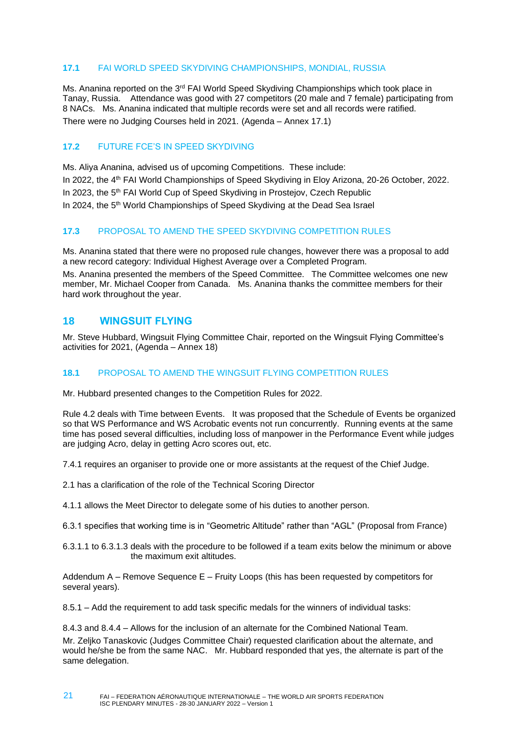### <span id="page-20-0"></span>**17.1** FAI WORLD SPEED SKYDIVING CHAMPIONSHIPS, MONDIAL, RUSSIA

Ms. Ananina reported on the 3<sup>rd</sup> FAI World Speed Skydiving Championships which took place in Tanay, Russia. Attendance was good with 27 competitors (20 male and 7 female) participating from 8 NACs. Ms. Ananina indicated that multiple records were set and all records were ratified. There were no Judging Courses held in 2021. (Agenda – Annex 17.1)

### <span id="page-20-1"></span>**17.2** FUTURE FCE'S IN SPEED SKYDIVING

Ms. Aliya Ananina, advised us of upcoming Competitions. These include: In 2022, the 4<sup>th</sup> FAI World Championships of Speed Skydiving in Eloy Arizona, 20-26 October, 2022. In 2023, the 5<sup>th</sup> FAI World Cup of Speed Skydiving in Prostejov, Czech Republic In 2024, the 5<sup>th</sup> World Championships of Speed Skydiving at the Dead Sea Israel

### <span id="page-20-2"></span>**17.3** PROPOSAL TO AMEND THE SPEED SKYDIVING COMPETITION RULES

Ms. Ananina stated that there were no proposed rule changes, however there was a proposal to add a new record category: Individual Highest Average over a Completed Program. Ms. Ananina presented the members of the Speed Committee. The Committee welcomes one new member, Mr. Michael Cooper from Canada. Ms. Ananina thanks the committee members for their

# **18 WINGSUIT FLYING**

<span id="page-20-3"></span>hard work throughout the year.

Mr. Steve Hubbard, Wingsuit Flying Committee Chair, reported on the Wingsuit Flying Committee's activities for 2021, (Agenda – Annex 18)

### <span id="page-20-4"></span>**18.1** PROPOSAL TO AMEND THE WINGSUIT FLYING COMPETITION RULES

Mr. Hubbard presented changes to the Competition Rules for 2022.

Rule 4.2 deals with Time between Events. It was proposed that the Schedule of Events be organized so that WS Performance and WS Acrobatic events not run concurrently. Running events at the same time has posed several difficulties, including loss of manpower in the Performance Event while judges are judging Acro, delay in getting Acro scores out, etc.

7.4.1 requires an organiser to provide one or more assistants at the request of the Chief Judge.

2.1 has a clarification of the role of the Technical Scoring Director

4.1.1 allows the Meet Director to delegate some of his duties to another person.

6.3.1 specifies that working time is in "Geometric Altitude" rather than "AGL" (Proposal from France)

6.3.1.1 to 6.3.1.3 deals with the procedure to be followed if a team exits below the minimum or above the maximum exit altitudes.

Addendum A – Remove Sequence E – Fruity Loops (this has been requested by competitors for several years).

8.5.1 – Add the requirement to add task specific medals for the winners of individual tasks:

8.4.3 and 8.4.4 – Allows for the inclusion of an alternate for the Combined National Team. Mr. Zeljko Tanaskovic (Judges Committee Chair) requested clarification about the alternate, and would he/she be from the same NAC. Mr. Hubbard responded that yes, the alternate is part of the same delegation.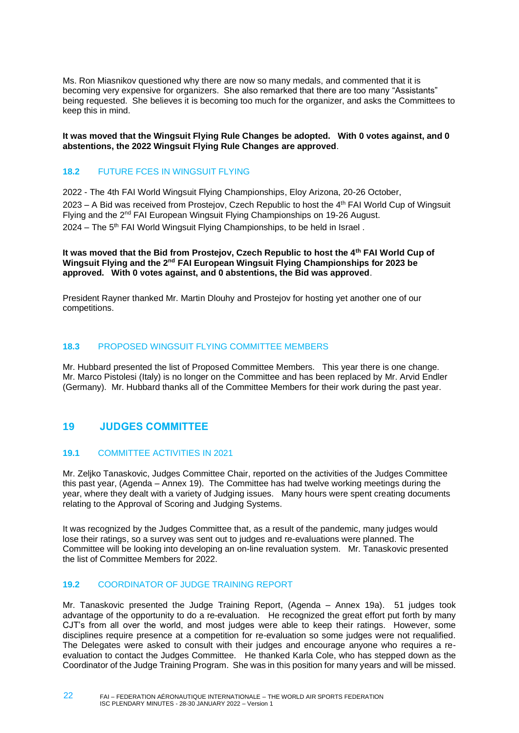Ms. Ron Miasnikov questioned why there are now so many medals, and commented that it is becoming very expensive for organizers. She also remarked that there are too many "Assistants" being requested. She believes it is becoming too much for the organizer, and asks the Committees to keep this in mind.

**It was moved that the Wingsuit Flying Rule Changes be adopted. With 0 votes against, and 0 abstentions, the 2022 Wingsuit Flying Rule Changes are approved**.

### <span id="page-21-0"></span>**18.2** FUTURE FCES IN WINGSUIT FLYING

2022 - The 4th FAI World Wingsuit Flying Championships, Eloy Arizona, 20-26 October, 2023 – A Bid was received from Prostejov, Czech Republic to host the 4th FAI World Cup of Wingsuit Flying and the  $2^{nd}$  FAI European Wingsuit Flying Championships on 19-26 August.  $2024$  – The 5<sup>th</sup> FAI World Wingsuit Flying Championships, to be held in Israel.

**It was moved that the Bid from Prostejov, Czech Republic to host the 4th FAI World Cup of Wingsuit Flying and the 2nd FAI European Wingsuit Flying Championships for 2023 be approved. With 0 votes against, and 0 abstentions, the Bid was approved**.

President Rayner thanked Mr. Martin Dlouhy and Prostejov for hosting yet another one of our competitions.

#### <span id="page-21-1"></span>**18.3** PROPOSED WINGSUIT FLYING COMMITTEE MEMBERS

Mr. Hubbard presented the list of Proposed Committee Members. This year there is one change. Mr. Marco Pistolesi (Italy) is no longer on the Committee and has been replaced by Mr. Arvid Endler (Germany). Mr. Hubbard thanks all of the Committee Members for their work during the past year.

# <span id="page-21-2"></span>**19 JUDGES COMMITTEE**

### <span id="page-21-3"></span>**19.1** COMMITTEE ACTIVITIES IN 2021

Mr. Zeljko Tanaskovic, Judges Committee Chair, reported on the activities of the Judges Committee this past year, (Agenda – Annex 19). The Committee has had twelve working meetings during the year, where they dealt with a variety of Judging issues. Many hours were spent creating documents relating to the Approval of Scoring and Judging Systems.

It was recognized by the Judges Committee that, as a result of the pandemic, many judges would lose their ratings, so a survey was sent out to judges and re-evaluations were planned. The Committee will be looking into developing an on-line revaluation system. Mr. Tanaskovic presented the list of Committee Members for 2022.

#### <span id="page-21-4"></span>**19.2** COORDINATOR OF JUDGE TRAINING REPORT

Mr. Tanaskovic presented the Judge Training Report, (Agenda – Annex 19a). 51 judges took advantage of the opportunity to do a re-evaluation. He recognized the great effort put forth by many CJT's from all over the world, and most judges were able to keep their ratings. However, some disciplines require presence at a competition for re-evaluation so some judges were not requalified. The Delegates were asked to consult with their judges and encourage anyone who requires a reevaluation to contact the Judges Committee. He thanked Karla Cole, who has stepped down as the Coordinator of the Judge Training Program. She was in this position for many years and will be missed.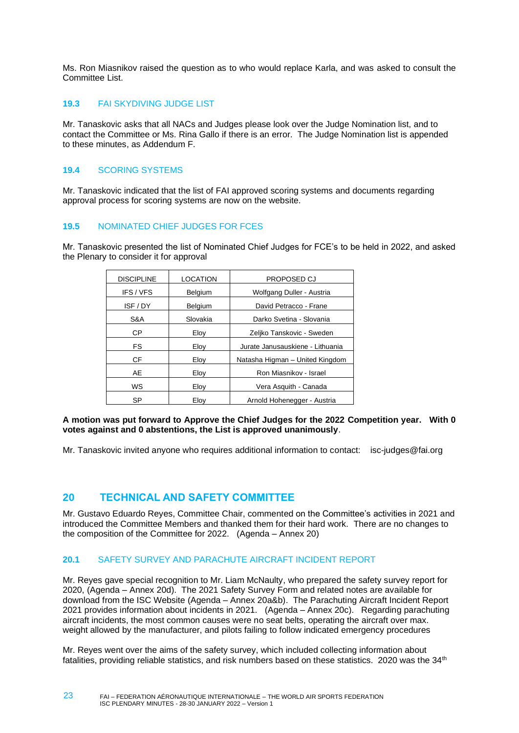Ms. Ron Miasnikov raised the question as to who would replace Karla, and was asked to consult the Committee List.

### <span id="page-22-0"></span>**19.3** FAI SKYDIVING JUDGE LIST

Mr. Tanaskovic asks that all NACs and Judges please look over the Judge Nomination list, and to contact the Committee or Ms. Rina Gallo if there is an error. The Judge Nomination list is appended to these minutes, as Addendum F.

### <span id="page-22-1"></span>**19.4** SCORING SYSTEMS

Mr. Tanaskovic indicated that the list of FAI approved scoring systems and documents regarding approval process for scoring systems are now on the website.

### <span id="page-22-2"></span>**19.5** NOMINATED CHIEF JUDGES FOR FCES

Mr. Tanaskovic presented the list of Nominated Chief Judges for FCE's to be held in 2022, and asked the Plenary to consider it for approval

| <b>DISCIPLINE</b> | <b>LOCATION</b> | <b>PROPOSED CJ</b>               |  |
|-------------------|-----------------|----------------------------------|--|
| IFS/VFS           | Belgium         | Wolfgang Duller - Austria        |  |
| ISF / DY          | Belgium         | David Petracco - Frane           |  |
| S&A               | Slovakia        | Darko Svetina - Slovania         |  |
| СP                | Eloy            | Zeljko Tanskovic - Sweden        |  |
| FS.               | Eloy            | Jurate Janusauskiene - Lithuania |  |
| CF.               | Eloy            | Natasha Higman - United Kingdom  |  |
| AE                | Eloy            | Ron Miasnikov - Israel           |  |
| <b>WS</b>         | Eloy            | Vera Asquith - Canada            |  |
| SP                | Elov            | Arnold Hohenegger - Austria      |  |

#### **A motion was put forward to Approve the Chief Judges for the 2022 Competition year. With 0 votes against and 0 abstentions, the List is approved unanimously**.

Mr. Tanaskovic invited anyone who requires additional information to contact: [isc-judges@fai.org](mailto:isc-judges@fai.org) 

# <span id="page-22-3"></span>**20 TECHNICAL AND SAFETY COMMITTEE**

23

Mr. Gustavo Eduardo Reyes, Committee Chair, commented on the Committee's activities in 2021 and introduced the Committee Members and thanked them for their hard work. There are no changes to the composition of the Committee for 2022. (Agenda – Annex 20)

### <span id="page-22-4"></span>**20.1** SAFETY SURVEY AND PARACHUTE AIRCRAFT INCIDENT REPORT

Mr. Reyes gave special recognition to Mr. Liam McNaulty, who prepared the safety survey report for 2020, (Agenda – Annex 20d). The 2021 Safety Survey Form and related notes are available for download from the ISC Website (Agenda – Annex 20a&b). The Parachuting Aircraft Incident Report 2021 provides information about incidents in 2021. (Agenda – Annex 20c). Regarding parachuting aircraft incidents, the most common causes were no seat belts, operating the aircraft over max. weight allowed by the manufacturer, and pilots failing to follow indicated emergency procedures

Mr. Reyes went over the aims of the safety survey, which included collecting information about fatalities, providing reliable statistics, and risk numbers based on these statistics. 2020 was the  $34<sup>th</sup>$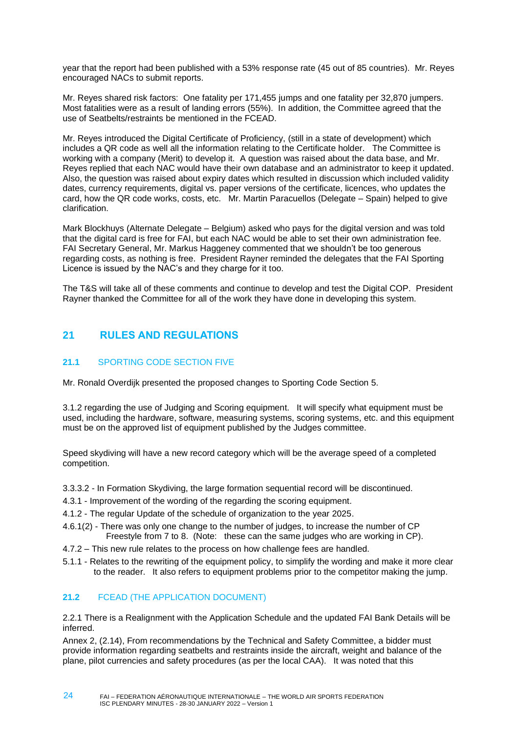year that the report had been published with a 53% response rate (45 out of 85 countries). Mr. Reyes encouraged NACs to submit reports.

Mr. Reyes shared risk factors: One fatality per 171,455 jumps and one fatality per 32,870 jumpers. Most fatalities were as a result of landing errors (55%). In addition, the Committee agreed that the use of Seatbelts/restraints be mentioned in the FCEAD.

Mr. Reyes introduced the Digital Certificate of Proficiency, (still in a state of development) which includes a QR code as well all the information relating to the Certificate holder. The Committee is working with a company (Merit) to develop it. A question was raised about the data base, and Mr. Reyes replied that each NAC would have their own database and an administrator to keep it updated. Also, the question was raised about expiry dates which resulted in discussion which included validity dates, currency requirements, digital vs. paper versions of the certificate, licences, who updates the card, how the QR code works, costs, etc. Mr. Martin Paracuellos (Delegate – Spain) helped to give clarification.

Mark Blockhuys (Alternate Delegate – Belgium) asked who pays for the digital version and was told that the digital card is free for FAI, but each NAC would be able to set their own administration fee. FAI Secretary General, Mr. Markus Haggeney commented that we shouldn't be too generous regarding costs, as nothing is free. President Rayner reminded the delegates that the FAI Sporting Licence is issued by the NAC's and they charge for it too.

The T&S will take all of these comments and continue to develop and test the Digital COP. President Rayner thanked the Committee for all of the work they have done in developing this system.

# <span id="page-23-0"></span>**21 RULES AND REGULATIONS**

# <span id="page-23-1"></span>**21.1** SPORTING CODE SECTION FIVE

Mr. Ronald Overdijk presented the proposed changes to Sporting Code Section 5.

3.1.2 regarding the use of Judging and Scoring equipment. It will specify what equipment must be used, including the hardware, software, measuring systems, scoring systems, etc. and this equipment must be on the approved list of equipment published by the Judges committee.

Speed skydiving will have a new record category which will be the average speed of a completed competition.

3.3.3.2 - In Formation Skydiving, the large formation sequential record will be discontinued.

- 4.3.1 Improvement of the wording of the regarding the scoring equipment.
- 4.1.2 The regular Update of the schedule of organization to the year 2025.
- 4.6.1(2) There was only one change to the number of judges, to increase the number of CP Freestyle from 7 to 8. (Note: these can the same judges who are working in CP).
- 4.7.2 This new rule relates to the process on how challenge fees are handled.
- 5.1.1 Relates to the rewriting of the equipment policy, to simplify the wording and make it more clear to the reader. It also refers to equipment problems prior to the competitor making the jump.

# <span id="page-23-2"></span>**21.2** FCEAD (THE APPLICATION DOCUMENT)

2.2.1 There is a Realignment with the Application Schedule and the updated FAI Bank Details will be inferred.

Annex 2, (2.14), From recommendations by the Technical and Safety Committee, a bidder must provide information regarding seatbelts and restraints inside the aircraft, weight and balance of the plane, pilot currencies and safety procedures (as per the local CAA). It was noted that this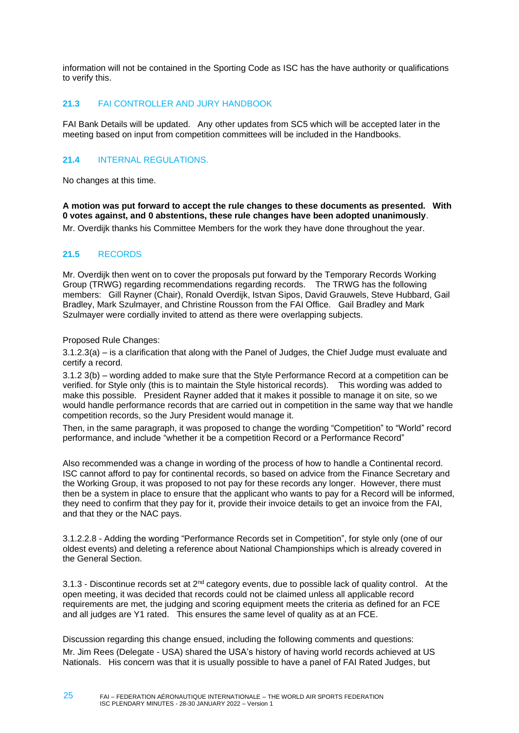information will not be contained in the Sporting Code as ISC has the have authority or qualifications to verify this.

### <span id="page-24-0"></span>**21.3** FAI CONTROLLER AND JURY HANDBOOK

FAI Bank Details will be updated. Any other updates from SC5 which will be accepted later in the meeting based on input from competition committees will be included in the Handbooks.

### <span id="page-24-1"></span>**21.4** INTERNAL REGULATIONS.

No changes at this time.

**A motion was put forward to accept the rule changes to these documents as presented. With 0 votes against, and 0 abstentions, these rule changes have been adopted unanimously**.

<span id="page-24-2"></span>Mr. Overdijk thanks his Committee Members for the work they have done throughout the year.

#### **21.5** RECORDS

Mr. Overdijk then went on to cover the proposals put forward by the Temporary Records Working Group (TRWG) regarding recommendations regarding records. The TRWG has the following members: Gill Rayner (Chair), Ronald Overdijk, Istvan Sipos, David Grauwels, Steve Hubbard, Gail Bradley, Mark Szulmayer, and Christine Rousson from the FAI Office. Gail Bradley and Mark Szulmayer were cordially invited to attend as there were overlapping subjects.

Proposed Rule Changes:

3.1.2.3(a) – is a clarification that along with the Panel of Judges, the Chief Judge must evaluate and certify a record.

3.1.2 3(b) – wording added to make sure that the Style Performance Record at a competition can be verified. for Style only (this is to maintain the Style historical records). This wording was added to make this possible. President Rayner added that it makes it possible to manage it on site, so we would handle performance records that are carried out in competition in the same way that we handle competition records, so the Jury President would manage it.

Then, in the same paragraph, it was proposed to change the wording "Competition" to "World" record performance, and include "whether it be a competition Record or a Performance Record"

Also recommended was a change in wording of the process of how to handle a Continental record. ISC cannot afford to pay for continental records, so based on advice from the Finance Secretary and the Working Group, it was proposed to not pay for these records any longer. However, there must then be a system in place to ensure that the applicant who wants to pay for a Record will be informed, they need to confirm that they pay for it, provide their invoice details to get an invoice from the FAI, and that they or the NAC pays.

3.1.2.2.8 - Adding the wording "Performance Records set in Competition", for style only (one of our oldest events) and deleting a reference about National Championships which is already covered in the General Section.

3.1.3 - Discontinue records set at  $2^{nd}$  category events, due to possible lack of quality control. At the open meeting, it was decided that records could not be claimed unless all applicable record requirements are met, the judging and scoring equipment meets the criteria as defined for an FCE and all judges are Y1 rated. This ensures the same level of quality as at an FCE.

Discussion regarding this change ensued, including the following comments and questions: Mr. Jim Rees (Delegate - USA) shared the USA's history of having world records achieved at US Nationals. His concern was that it is usually possible to have a panel of FAI Rated Judges, but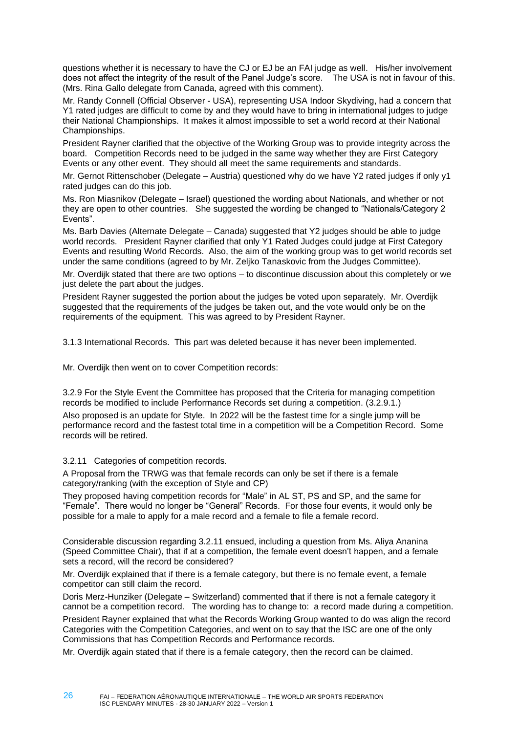questions whether it is necessary to have the CJ or EJ be an FAI judge as well. His/her involvement does not affect the integrity of the result of the Panel Judge's score. The USA is not in favour of this. (Mrs. Rina Gallo delegate from Canada, agreed with this comment).

Mr. Randy Connell (Official Observer - USA), representing USA Indoor Skydiving, had a concern that Y1 rated judges are difficult to come by and they would have to bring in international judges to judge their National Championships. It makes it almost impossible to set a world record at their National Championships.

President Rayner clarified that the objective of the Working Group was to provide integrity across the board. Competition Records need to be judged in the same way whether they are First Category Events or any other event. They should all meet the same requirements and standards.

Mr. Gernot Rittenschober (Delegate – Austria) questioned why do we have Y2 rated judges if only y1 rated judges can do this job.

Ms. Ron Miasnikov (Delegate – Israel) questioned the wording about Nationals, and whether or not they are open to other countries. She suggested the wording be changed to "Nationals/Category 2 Events".

Ms. Barb Davies (Alternate Delegate – Canada) suggested that Y2 judges should be able to judge world records. President Rayner clarified that only Y1 Rated Judges could judge at First Category Events and resulting World Records. Also, the aim of the working group was to get world records set under the same conditions (agreed to by Mr. Zeljko Tanaskovic from the Judges Committee).

Mr. Overdijk stated that there are two options – to discontinue discussion about this completely or we just delete the part about the judges.

President Rayner suggested the portion about the judges be voted upon separately. Mr. Overdijk suggested that the requirements of the judges be taken out, and the vote would only be on the requirements of the equipment. This was agreed to by President Rayner.

3.1.3 International Records. This part was deleted because it has never been implemented.

Mr. Overdijk then went on to cover Competition records:

3.2.9 For the Style Event the Committee has proposed that the Criteria for managing competition records be modified to include Performance Records set during a competition. (3.2.9.1.)

Also proposed is an update for Style. In 2022 will be the fastest time for a single jump will be performance record and the fastest total time in a competition will be a Competition Record. Some records will be retired.

3.2.11 Categories of competition records.

A Proposal from the TRWG was that female records can only be set if there is a female category/ranking (with the exception of Style and CP)

They proposed having competition records for "Male" in AL ST, PS and SP, and the same for "Female". There would no longer be "General" Records. For those four events, it would only be possible for a male to apply for a male record and a female to file a female record.

Considerable discussion regarding 3.2.11 ensued, including a question from Ms. Aliya Ananina (Speed Committee Chair), that if at a competition, the female event doesn't happen, and a female sets a record, will the record be considered?

Mr. Overdijk explained that if there is a female category, but there is no female event, a female competitor can still claim the record.

Doris Merz-Hunziker (Delegate – Switzerland) commented that if there is not a female category it cannot be a competition record. The wording has to change to: a record made during a competition.

President Rayner explained that what the Records Working Group wanted to do was align the record Categories with the Competition Categories, and went on to say that the ISC are one of the only Commissions that has Competition Records and Performance records.

Mr. Overdijk again stated that if there is a female category, then the record can be claimed.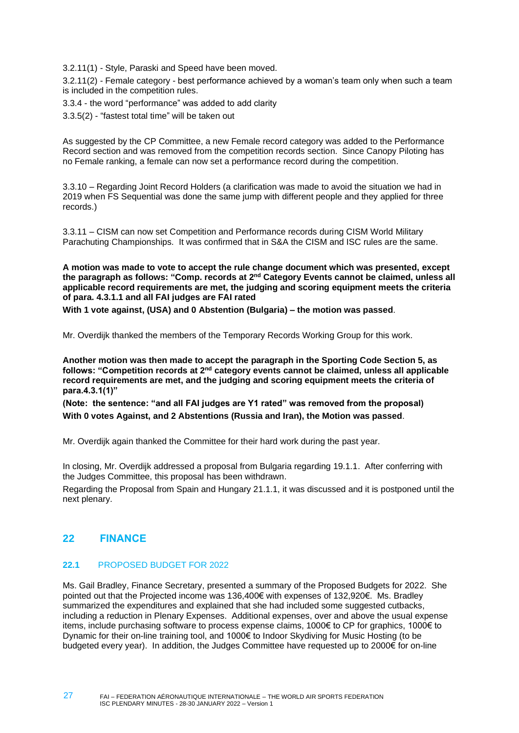3.2.11(1) - Style, Paraski and Speed have been moved.

3.2.11(2) - Female category - best performance achieved by a woman's team only when such a team is included in the competition rules.

3.3.4 - the word "performance" was added to add clarity

3.3.5(2) - "fastest total time" will be taken out

As suggested by the CP Committee, a new Female record category was added to the Performance Record section and was removed from the competition records section. Since Canopy Piloting has no Female ranking, a female can now set a performance record during the competition.

3.3.10 – Regarding Joint Record Holders (a clarification was made to avoid the situation we had in 2019 when FS Sequential was done the same jump with different people and they applied for three records.)

3.3.11 – CISM can now set Competition and Performance records during CISM World Military Parachuting Championships. It was confirmed that in S&A the CISM and ISC rules are the same.

**A motion was made to vote to accept the rule change document which was presented, except the paragraph as follows: "Comp. records at 2nd Category Events cannot be claimed, unless all applicable record requirements are met, the judging and scoring equipment meets the criteria of para. 4.3.1.1 and all FAI judges are FAI rated**

**With 1 vote against, (USA) and 0 Abstention (Bulgaria) – the motion was passed**.

Mr. Overdijk thanked the members of the Temporary Records Working Group for this work.

**Another motion was then made to accept the paragraph in the Sporting Code Section 5, as follows: "Competition records at 2nd category events cannot be claimed, unless all applicable record requirements are met, and the judging and scoring equipment meets the criteria of para.4.3.1(1)"**

**(Note: the sentence: "and all FAI judges are Y1 rated" was removed from the proposal) With 0 votes Against, and 2 Abstentions (Russia and Iran), the Motion was passed**.

Mr. Overdijk again thanked the Committee for their hard work during the past year.

In closing, Mr. Overdijk addressed a proposal from Bulgaria regarding 19.1.1. After conferring with the Judges Committee, this proposal has been withdrawn.

Regarding the Proposal from Spain and Hungary 21.1.1, it was discussed and it is postponed until the next plenary.

# <span id="page-26-0"></span>**22 FINANCE**

### <span id="page-26-1"></span>**22.1** PROPOSED BUDGET FOR 2022

Ms. Gail Bradley, Finance Secretary, presented a summary of the Proposed Budgets for 2022. She pointed out that the Projected income was 136,400€ with expenses of 132,920€. Ms. Bradley summarized the expenditures and explained that she had included some suggested cutbacks, including a reduction in Plenary Expenses. Additional expenses, over and above the usual expense items, include purchasing software to process expense claims, 1000€ to CP for graphics, 1000€ to Dynamic for their on-line training tool, and 1000€ to Indoor Skydiving for Music Hosting (to be budgeted every year). In addition, the Judges Committee have requested up to 2000€ for on-line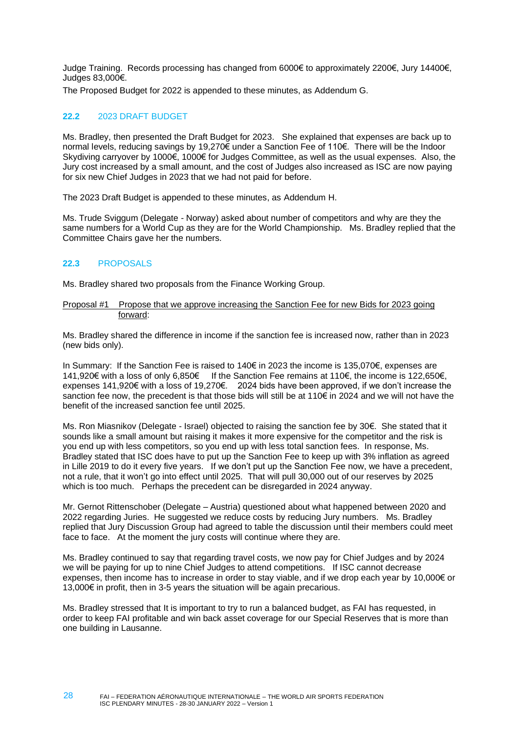Judge Training. Records processing has changed from 6000€ to approximately 2200€, Jury 14400€, Judges 83,000€.

<span id="page-27-0"></span>The Proposed Budget for 2022 is appended to these minutes, as Addendum G.

#### **22.2** 2023 DRAFT BUDGET

Ms. Bradley, then presented the Draft Budget for 2023. She explained that expenses are back up to normal levels, reducing savings by 19,270€ under a Sanction Fee of 110€. There will be the Indoor Skydiving carryover by 1000€, 1000€ for Judges Committee, as well as the usual expenses. Also, the Jury cost increased by a small amount, and the cost of Judges also increased as ISC are now paying for six new Chief Judges in 2023 that we had not paid for before.

The 2023 Draft Budget is appended to these minutes, as Addendum H.

Ms. Trude Sviggum (Delegate - Norway) asked about number of competitors and why are they the same numbers for a World Cup as they are for the World Championship. Ms. Bradley replied that the Committee Chairs gave her the numbers.

#### <span id="page-27-1"></span>**22.3** PROPOSALS

28

Ms. Bradley shared two proposals from the Finance Working Group.

#### Proposal #1 Propose that we approve increasing the Sanction Fee for new Bids for 2023 going forward:

Ms. Bradley shared the difference in income if the sanction fee is increased now, rather than in 2023 (new bids only).

In Summary: If the Sanction Fee is raised to 140€ in 2023 the income is 135,070€, expenses are 141,920€ with a loss of only 6,850€ If the Sanction Fee remains at 110€, the income is 122,650€, expenses 141,920€ with a loss of 19,270€. 2024 bids have been approved, if we don't increase the sanction fee now, the precedent is that those bids will still be at 110€ in 2024 and we will not have the benefit of the increased sanction fee until 2025.

Ms. Ron Miasnikov (Delegate - Israel) objected to raising the sanction fee by 30€. She stated that it sounds like a small amount but raising it makes it more expensive for the competitor and the risk is you end up with less competitors, so you end up with less total sanction fees. In response, Ms. Bradley stated that ISC does have to put up the Sanction Fee to keep up with 3% inflation as agreed in Lille 2019 to do it every five years. If we don't put up the Sanction Fee now, we have a precedent, not a rule, that it won't go into effect until 2025. That will pull 30,000 out of our reserves by 2025 which is too much. Perhaps the precedent can be disregarded in 2024 anyway.

Mr. Gernot Rittenschober (Delegate – Austria) questioned about what happened between 2020 and 2022 regarding Juries. He suggested we reduce costs by reducing Jury numbers. Ms. Bradley replied that Jury Discussion Group had agreed to table the discussion until their members could meet face to face. At the moment the jury costs will continue where they are.

Ms. Bradley continued to say that regarding travel costs, we now pay for Chief Judges and by 2024 we will be paying for up to nine Chief Judges to attend competitions. If ISC cannot decrease expenses, then income has to increase in order to stay viable, and if we drop each year by 10,000€ or 13,000€ in profit, then in 3-5 years the situation will be again precarious.

Ms. Bradley stressed that It is important to try to run a balanced budget, as FAI has requested, in order to keep FAI profitable and win back asset coverage for our Special Reserves that is more than one building in Lausanne.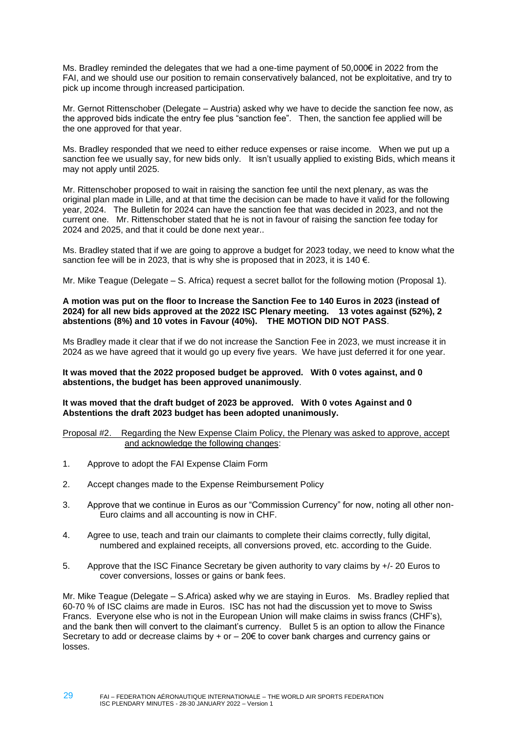Ms. Bradley reminded the delegates that we had a one-time payment of 50,000€ in 2022 from the FAI, and we should use our position to remain conservatively balanced, not be exploitative, and try to pick up income through increased participation.

Mr. Gernot Rittenschober (Delegate – Austria) asked why we have to decide the sanction fee now, as the approved bids indicate the entry fee plus "sanction fee". Then, the sanction fee applied will be the one approved for that year.

Ms. Bradley responded that we need to either reduce expenses or raise income. When we put up a sanction fee we usually say, for new bids only. It isn't usually applied to existing Bids, which means it may not apply until 2025.

Mr. Rittenschober proposed to wait in raising the sanction fee until the next plenary, as was the original plan made in Lille, and at that time the decision can be made to have it valid for the following year, 2024. The Bulletin for 2024 can have the sanction fee that was decided in 2023, and not the current one. Mr. Rittenschober stated that he is not in favour of raising the sanction fee today for 2024 and 2025, and that it could be done next year..

Ms. Bradley stated that if we are going to approve a budget for 2023 today, we need to know what the sanction fee will be in 2023, that is why she is proposed that in 2023, it is 140  $\epsilon$ .

Mr. Mike Teague (Delegate – S. Africa) request a secret ballot for the following motion (Proposal 1).

#### **A motion was put on the floor to Increase the Sanction Fee to 140 Euros in 2023 (instead of 2024) for all new bids approved at the 2022 ISC Plenary meeting. 13 votes against (52%), 2 abstentions (8%) and 10 votes in Favour (40%). THE MOTION DID NOT PASS**.

Ms Bradley made it clear that if we do not increase the Sanction Fee in 2023, we must increase it in 2024 as we have agreed that it would go up every five years. We have just deferred it for one year.

#### **It was moved that the 2022 proposed budget be approved. With 0 votes against, and 0 abstentions, the budget has been approved unanimously**.

**It was moved that the draft budget of 2023 be approved. With 0 votes Against and 0 Abstentions the draft 2023 budget has been adopted unanimously.**

#### Proposal #2. Regarding the New Expense Claim Policy, the Plenary was asked to approve, accept and acknowledge the following changes:

1. Approve to adopt the FAI Expense Claim Form

29

- 2. Accept changes made to the Expense Reimbursement Policy
- 3. Approve that we continue in Euros as our "Commission Currency" for now, noting all other non-Euro claims and all accounting is now in CHF.
- 4. Agree to use, teach and train our claimants to complete their claims correctly, fully digital, numbered and explained receipts, all conversions proved, etc. according to the Guide.
- 5. Approve that the ISC Finance Secretary be given authority to vary claims by +/- 20 Euros to cover conversions, losses or gains or bank fees.

Mr. Mike Teague (Delegate – S.Africa) asked why we are staying in Euros. Ms. Bradley replied that 60-70 % of ISC claims are made in Euros. ISC has not had the discussion yet to move to Swiss Francs. Everyone else who is not in the European Union will make claims in swiss francs (CHF's), and the bank then will convert to the claimant's currency. Bullet 5 is an option to allow the Finance Secretary to add or decrease claims by  $+$  or  $-$  20 $\epsilon$  to cover bank charges and currency gains or losses.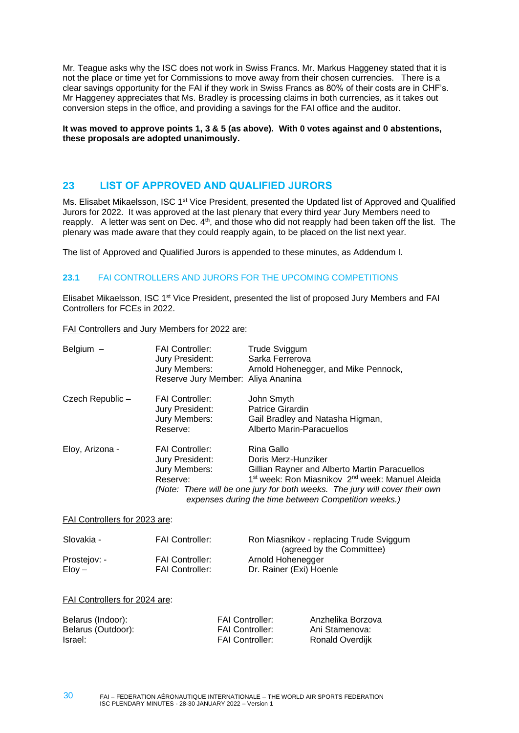Mr. Teague asks why the ISC does not work in Swiss Francs. Mr. Markus Haggeney stated that it is not the place or time yet for Commissions to move away from their chosen currencies. There is a clear savings opportunity for the FAI if they work in Swiss Francs as 80% of their costs are in CHF's. Mr Haggeney appreciates that Ms. Bradley is processing claims in both currencies, as it takes out conversion steps in the office, and providing a savings for the FAI office and the auditor.

**It was moved to approve points 1, 3 & 5 (as above). With 0 votes against and 0 abstentions, these proposals are adopted unanimously.**

# <span id="page-29-0"></span>**23 LIST OF APPROVED AND QUALIFIED JURORS**

Ms. Elisabet Mikaelsson, ISC 1<sup>st</sup> Vice President, presented the Updated list of Approved and Qualified Jurors for 2022. It was approved at the last plenary that every third year Jury Members need to reapply. A letter was sent on Dec. 4<sup>th</sup>, and those who did not reapply had been taken off the list. The plenary was made aware that they could reapply again, to be placed on the list next year.

<span id="page-29-1"></span>The list of Approved and Qualified Jurors is appended to these minutes, as Addendum I.

### **23.1** FAI CONTROLLERS AND JURORS FOR THE UPCOMING COMPETITIONS

Elisabet Mikaelsson, ISC 1st Vice President, presented the list of proposed Jury Members and FAI Controllers for FCEs in 2022.

FAI Controllers and Jury Members for 2022 are:

| Belgium $-$     | <b>FAI Controller:</b><br>Jury President:<br>Jury Members:<br>Reserve Jury Member: Aliya Ananina | Trude Sviggum<br>Sarka Ferrerova<br>Arnold Hohenegger, and Mike Pennock,                                                                                                                                                                                                                             |
|-----------------|--------------------------------------------------------------------------------------------------|------------------------------------------------------------------------------------------------------------------------------------------------------------------------------------------------------------------------------------------------------------------------------------------------------|
| Czech Republic- | <b>FAI Controller:</b><br>Jury President:<br>Jury Members:<br>Reserve:                           | John Smyth<br>Patrice Girardin<br>Gail Bradley and Natasha Higman,<br>Alberto Marin-Paracuellos                                                                                                                                                                                                      |
| Eloy, Arizona - | <b>FAI Controller:</b><br>Jury President:<br>Jury Members:<br>Reserve:                           | Rina Gallo<br>Doris Merz-Hunziker<br>Gillian Rayner and Alberto Martin Paracuellos<br>1 <sup>st</sup> week: Ron Miasnikov 2 <sup>nd</sup> week: Manuel Aleida<br>(Note: There will be one jury for both weeks. The jury will cover their own<br>expenses during the time between Competition weeks.) |

FAI Controllers for 2023 are:

| Slovakia -   | <b>FAI Controller:</b> | Ron Miasnikov - replacing Trude Sviggum |
|--------------|------------------------|-----------------------------------------|
|              |                        | (agreed by the Committee)               |
| Prostejov: - | <b>FAI Controller:</b> | Arnold Hohenegger                       |
| $E$ lov $-$  | <b>FAI Controller:</b> | Dr. Rainer (Exi) Hoenle                 |

#### FAI Controllers for 2024 are:

| Belarus (Indoor):  | <b>FAI Controller:</b> | Anzhelika Borzova |
|--------------------|------------------------|-------------------|
| Belarus (Outdoor): | <b>FAI Controller:</b> | Ani Stamenova:    |
| Israel:            | <b>FAI Controller:</b> | Ronald Overdijk   |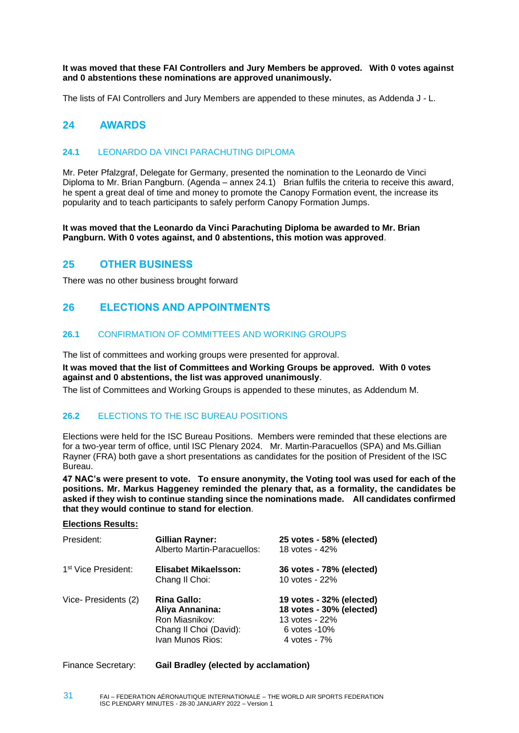**It was moved that these FAI Controllers and Jury Members be approved. With 0 votes against and 0 abstentions these nominations are approved unanimously.** 

The lists of FAI Controllers and Jury Members are appended to these minutes, as Addenda J - L.

# <span id="page-30-0"></span>**24 AWARDS**

#### <span id="page-30-1"></span>**24.1** LEONARDO DA VINCI PARACHUTING DIPLOMA

Mr. Peter Pfalzgraf, Delegate for Germany, presented the nomination to the Leonardo de Vinci Diploma to Mr. Brian Pangburn. (Agenda – annex 24.1) Brian fulfils the criteria to receive this award, he spent a great deal of time and money to promote the Canopy Formation event, the increase its popularity and to teach participants to safely perform Canopy Formation Jumps.

**It was moved that the Leonardo da Vinci Parachuting Diploma be awarded to Mr. Brian Pangburn. With 0 votes against, and 0 abstentions, this motion was approved**.

### <span id="page-30-2"></span>**25 OTHER BUSINESS**

<span id="page-30-3"></span>There was no other business brought forward

# **26 ELECTIONS AND APPOINTMENTS**

#### <span id="page-30-4"></span>**26.1** CONFIRMATION OF COMMITTEES AND WORKING GROUPS

The list of committees and working groups were presented for approval.

**It was moved that the list of Committees and Working Groups be approved. With 0 votes against and 0 abstentions, the list was approved unanimously**.

<span id="page-30-5"></span>The list of Committees and Working Groups is appended to these minutes, as Addendum M.

#### **26.2** ELECTIONS TO THE ISC BUREAU POSITIONS

Elections were held for the ISC Bureau Positions. Members were reminded that these elections are for a two-year term of office, until ISC Plenary 2024. Mr. Martin-Paracuellos (SPA) and Ms.Gillian Rayner (FRA) both gave a short presentations as candidates for the position of President of the ISC Bureau.

**47 NAC's were present to vote. To ensure anonymity, the Voting tool was used for each of the positions. Mr. Markus Haggeney reminded the plenary that, as a formality, the candidates be asked if they wish to continue standing since the nominations made. All candidates confirmed that they would continue to stand for election**.

#### **Elections Results:**

| President:                      | <b>Gillian Rayner:</b><br>Alberto Martin-Paracuellos:                                                 | 25 votes - 58% (elected)<br>18 votes - 42%                                                               |
|---------------------------------|-------------------------------------------------------------------------------------------------------|----------------------------------------------------------------------------------------------------------|
| 1 <sup>st</sup> Vice President: | Elisabet Mikaelsson:<br>Chang II Choi:                                                                | 36 votes - 78% (elected)<br>10 votes - 22%                                                               |
| Vice-Presidents (2)             | <b>Rina Gallo:</b><br>Aliya Annanina:<br>Ron Miasnikov:<br>Chang II Choi (David):<br>Ivan Munos Rios: | 19 votes - 32% (elected)<br>18 votes - 30% (elected)<br>13 votes - 22%<br>$6$ votes -10%<br>4 votes - 7% |

Finance Secretary: **Gail Bradley (elected by acclamation)**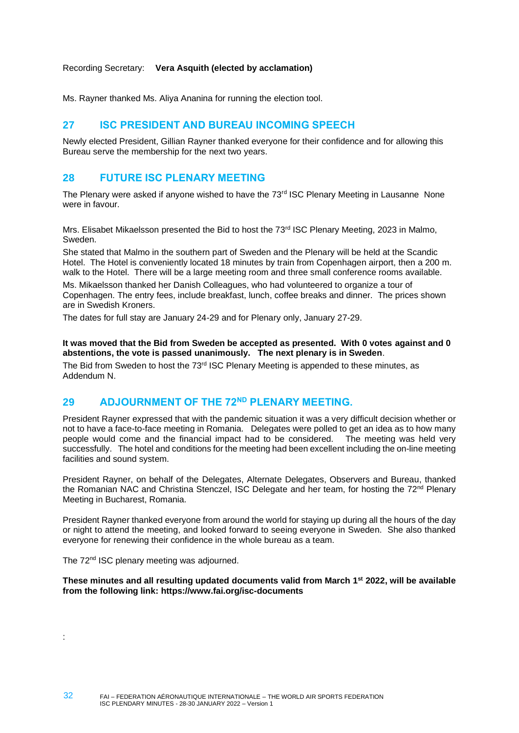#### Recording Secretary: **Vera Asquith (elected by acclamation)**

Ms. Rayner thanked Ms. Aliya Ananina for running the election tool.

# <span id="page-31-0"></span>**27 ISC PRESIDENT AND BUREAU INCOMING SPEECH**

Newly elected President, Gillian Rayner thanked everyone for their confidence and for allowing this Bureau serve the membership for the next two years.

# <span id="page-31-1"></span>**28 FUTURE ISC PLENARY MEETING**

The Plenary were asked if anyone wished to have the  $73<sup>rd</sup>$  ISC Plenary Meeting in Lausanne None were in favour.

Mrs. Elisabet Mikaelsson presented the Bid to host the 73<sup>rd</sup> ISC Plenary Meeting, 2023 in Malmo, Sweden.

She stated that Malmo in the southern part of Sweden and the Plenary will be held at the Scandic Hotel. The Hotel is conveniently located 18 minutes by train from Copenhagen airport, then a 200 m. walk to the Hotel. There will be a large meeting room and three small conference rooms available. Ms. Mikaelsson thanked her Danish Colleagues, who had volunteered to organize a tour of Copenhagen. The entry fees, include breakfast, lunch, coffee breaks and dinner. The prices shown are in Swedish Kroners.

The dates for full stay are January 24-29 and for Plenary only, January 27-29.

#### **It was moved that the Bid from Sweden be accepted as presented. With 0 votes against and 0 abstentions, the vote is passed unanimously. The next plenary is in Sweden**.

The Bid from Sweden to host the  $73<sup>rd</sup>$  ISC Plenary Meeting is appended to these minutes, as Addendum N.

# <span id="page-31-2"></span>**29 ADJOURNMENT OF THE 72ND PLENARY MEETING.**

President Rayner expressed that with the pandemic situation it was a very difficult decision whether or not to have a face-to-face meeting in Romania. Delegates were polled to get an idea as to how many people would come and the financial impact had to be considered. The meeting was held very successfully. The hotel and conditions for the meeting had been excellent including the on-line meeting facilities and sound system.

President Rayner, on behalf of the Delegates, Alternate Delegates, Observers and Bureau, thanked the Romanian NAC and Christina Stenczel, ISC Delegate and her team, for hosting the 72<sup>nd</sup> Plenary Meeting in Bucharest, Romania.

President Rayner thanked everyone from around the world for staying up during all the hours of the day or night to attend the meeting, and looked forward to seeing everyone in Sweden. She also thanked everyone for renewing their confidence in the whole bureau as a team.

The 72<sup>nd</sup> ISC plenary meeting was adjourned.

**These minutes and all resulting updated documents valid from March 1st 2022, will be available from the following link:<https://www.fai.org/isc-documents>**

: